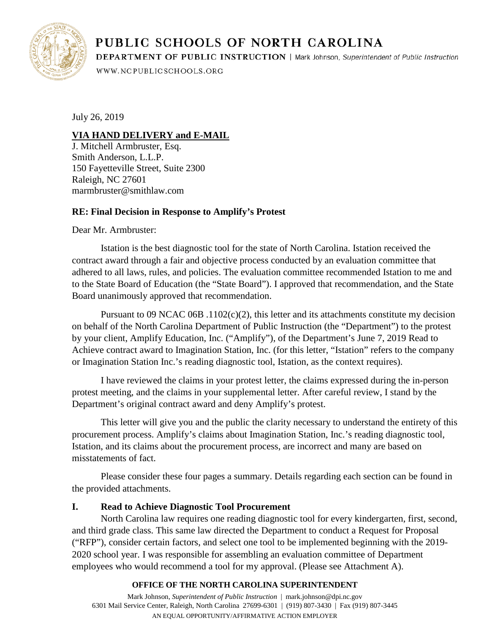

# PUBLIC SCHOOLS OF NORTH CAROLINA

DEPARTMENT OF PUBLIC INSTRUCTION | Mark Johnson, Superintendent of Public Instruction

WWW.NCPUBLICSCHOOLS.ORG

July 26, 2019

## **VIA HAND DELIVERY and E-MAIL**

J. Mitchell Armbruster, Esq. Smith Anderson, L.L.P. 150 Fayetteville Street, Suite 2300 Raleigh, NC 27601 marmbruster@smithlaw.com

## **RE: Final Decision in Response to Amplify's Protest**

Dear Mr. Armbruster:

Istation is the best diagnostic tool for the state of North Carolina. Istation received the contract award through a fair and objective process conducted by an evaluation committee that adhered to all laws, rules, and policies. The evaluation committee recommended Istation to me and to the State Board of Education (the "State Board"). I approved that recommendation, and the State Board unanimously approved that recommendation.

Pursuant to 09 NCAC 06B .1102(c)(2), this letter and its attachments constitute my decision on behalf of the North Carolina Department of Public Instruction (the "Department") to the protest by your client, Amplify Education, Inc. ("Amplify"), of the Department's June 7, 2019 Read to Achieve contract award to Imagination Station, Inc. (for this letter, "Istation" refers to the company or Imagination Station Inc.'s reading diagnostic tool, Istation, as the context requires).

I have reviewed the claims in your protest letter, the claims expressed during the in-person protest meeting, and the claims in your supplemental letter. After careful review, I stand by the Department's original contract award and deny Amplify's protest.

This letter will give you and the public the clarity necessary to understand the entirety of this procurement process. Amplify's claims about Imagination Station, Inc.'s reading diagnostic tool, Istation, and its claims about the procurement process, are incorrect and many are based on misstatements of fact.

Please consider these four pages a summary. Details regarding each section can be found in the provided attachments.

## **I. Read to Achieve Diagnostic Tool Procurement**

North Carolina law requires one reading diagnostic tool for every kindergarten, first, second, and third grade class. This same law directed the Department to conduct a Request for Proposal ("RFP"), consider certain factors, and select one tool to be implemented beginning with the 2019- 2020 school year. I was responsible for assembling an evaluation committee of Department employees who would recommend a tool for my approval. (Please see Attachment A).

### **OFFICE OF THE NORTH CAROLINA SUPERINTENDENT**

Mark Johnson, *Superintendent of Public Instruction* | mark.johnson@dpi.nc.gov 6301 Mail Service Center, Raleigh, North Carolina 27699-6301 | (919) 807-3430 | Fax (919) 807-3445 AN EQUAL OPPORTUNITY/AFFIRMATIVE ACTION EMPLOYER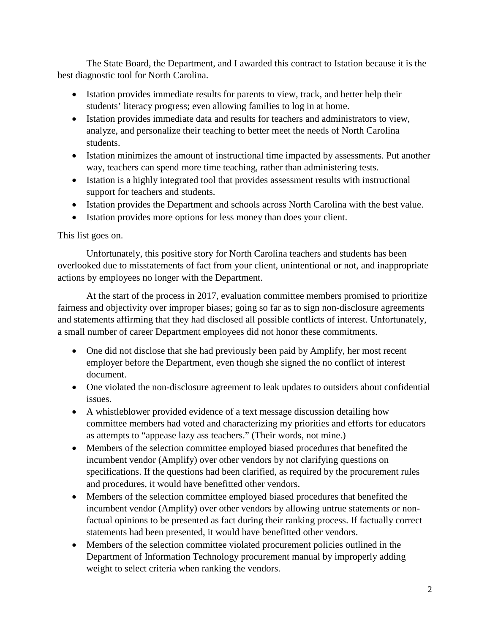The State Board, the Department, and I awarded this contract to Istation because it is the best diagnostic tool for North Carolina.

- Istation provides immediate results for parents to view, track, and better help their students' literacy progress; even allowing families to log in at home.
- Istation provides immediate data and results for teachers and administrators to view, analyze, and personalize their teaching to better meet the needs of North Carolina students.
- Istation minimizes the amount of instructional time impacted by assessments. Put another way, teachers can spend more time teaching, rather than administering tests.
- Istation is a highly integrated tool that provides assessment results with instructional support for teachers and students.
- Istation provides the Department and schools across North Carolina with the best value.
- Istation provides more options for less money than does your client.

## This list goes on.

Unfortunately, this positive story for North Carolina teachers and students has been overlooked due to misstatements of fact from your client, unintentional or not, and inappropriate actions by employees no longer with the Department.

At the start of the process in 2017, evaluation committee members promised to prioritize fairness and objectivity over improper biases; going so far as to sign non-disclosure agreements and statements affirming that they had disclosed all possible conflicts of interest. Unfortunately, a small number of career Department employees did not honor these commitments.

- One did not disclose that she had previously been paid by Amplify, her most recent employer before the Department, even though she signed the no conflict of interest document.
- One violated the non-disclosure agreement to leak updates to outsiders about confidential issues.
- A whistleblower provided evidence of a text message discussion detailing how committee members had voted and characterizing my priorities and efforts for educators as attempts to "appease lazy ass teachers." (Their words, not mine.)
- Members of the selection committee employed biased procedures that benefited the incumbent vendor (Amplify) over other vendors by not clarifying questions on specifications. If the questions had been clarified, as required by the procurement rules and procedures, it would have benefitted other vendors.
- Members of the selection committee employed biased procedures that benefited the incumbent vendor (Amplify) over other vendors by allowing untrue statements or nonfactual opinions to be presented as fact during their ranking process. If factually correct statements had been presented, it would have benefitted other vendors.
- Members of the selection committee violated procurement policies outlined in the Department of Information Technology procurement manual by improperly adding weight to select criteria when ranking the vendors.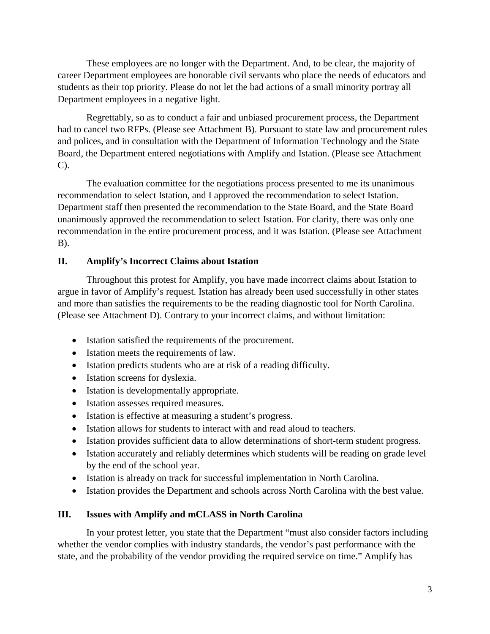These employees are no longer with the Department. And, to be clear, the majority of career Department employees are honorable civil servants who place the needs of educators and students as their top priority. Please do not let the bad actions of a small minority portray all Department employees in a negative light.

Regrettably, so as to conduct a fair and unbiased procurement process, the Department had to cancel two RFPs. (Please see Attachment B). Pursuant to state law and procurement rules and polices, and in consultation with the Department of Information Technology and the State Board, the Department entered negotiations with Amplify and Istation. (Please see Attachment  $C$ ).

The evaluation committee for the negotiations process presented to me its unanimous recommendation to select Istation, and I approved the recommendation to select Istation. Department staff then presented the recommendation to the State Board, and the State Board unanimously approved the recommendation to select Istation. For clarity, there was only one recommendation in the entire procurement process, and it was Istation. (Please see Attachment  $B$ ).

## **II. Amplify's Incorrect Claims about Istation**

Throughout this protest for Amplify, you have made incorrect claims about Istation to argue in favor of Amplify's request. Istation has already been used successfully in other states and more than satisfies the requirements to be the reading diagnostic tool for North Carolina. (Please see Attachment D). Contrary to your incorrect claims, and without limitation:

- Istation satisfied the requirements of the procurement.
- Istation meets the requirements of law.
- Istation predicts students who are at risk of a reading difficulty.
- Istation screens for dyslexia.
- Istation is developmentally appropriate.
- Istation assesses required measures.
- Istation is effective at measuring a student's progress.
- Istation allows for students to interact with and read aloud to teachers.
- Istation provides sufficient data to allow determinations of short-term student progress.
- Istation accurately and reliably determines which students will be reading on grade level by the end of the school year.
- Istation is already on track for successful implementation in North Carolina.
- Istation provides the Department and schools across North Carolina with the best value.

## **III. Issues with Amplify and mCLASS in North Carolina**

In your protest letter, you state that the Department "must also consider factors including whether the vendor complies with industry standards, the vendor's past performance with the state, and the probability of the vendor providing the required service on time." Amplify has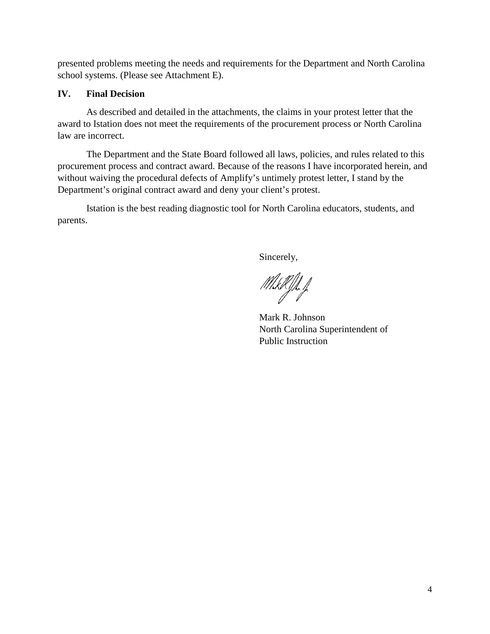presented problems meeting the needs and requirements for the Department and North Carolina school systems. (Please see Attachment E).

## **IV. Final Decision**

As described and detailed in the attachments, the claims in your protest letter that the award to Istation does not meet the requirements of the procurement process or North Carolina law are incorrect.

The Department and the State Board followed all laws, policies, and rules related to this procurement process and contract award. Because of the reasons I have incorporated herein, and without waiving the procedural defects of Amplify's untimely protest letter, I stand by the Department's original contract award and deny your client's protest.

Istation is the best reading diagnostic tool for North Carolina educators, students, and parents.

Sincerely,

MIKRYL.

 Mark R. Johnson North Carolina Superintendent of Public Instruction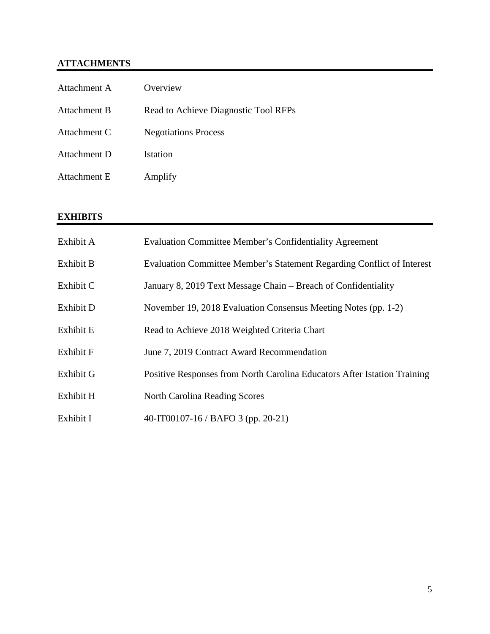## **ATTACHMENTS**

| Attachment A        | Overview                             |
|---------------------|--------------------------------------|
| <b>Attachment B</b> | Read to Achieve Diagnostic Tool RFPs |
| Attachment C        | <b>Negotiations Process</b>          |
| Attachment D        | <b>Istation</b>                      |
| Attachment E        | Amplify                              |

## **EXHIBITS**

| Exhibit A        | <b>Evaluation Committee Member's Confidentiality Agreement</b>           |
|------------------|--------------------------------------------------------------------------|
| Exhibit B        | Evaluation Committee Member's Statement Regarding Conflict of Interest   |
| Exhibit C        | January 8, 2019 Text Message Chain – Breach of Confidentiality           |
| Exhibit D        | November 19, 2018 Evaluation Consensus Meeting Notes (pp. 1-2)           |
| <b>Exhibit E</b> | Read to Achieve 2018 Weighted Criteria Chart                             |
| <b>Exhibit F</b> | June 7, 2019 Contract Award Recommendation                               |
| Exhibit G        | Positive Responses from North Carolina Educators After Istation Training |
| Exhibit H        | North Carolina Reading Scores                                            |
| Exhibit I        | 40-IT00107-16 / BAFO 3 (pp. 20-21)                                       |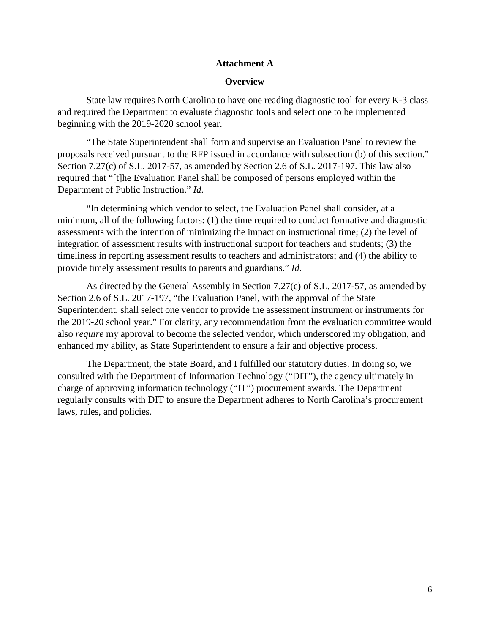#### **Attachment A**

#### **Overview**

State law requires North Carolina to have one reading diagnostic tool for every K-3 class and required the Department to evaluate diagnostic tools and select one to be implemented beginning with the 2019-2020 school year.

"The State Superintendent shall form and supervise an Evaluation Panel to review the proposals received pursuant to the RFP issued in accordance with subsection (b) of this section." Section 7.27(c) of S.L. 2017-57, as amended by Section 2.6 of S.L. 2017-197. This law also required that "[t]he Evaluation Panel shall be composed of persons employed within the Department of Public Instruction." *Id*.

"In determining which vendor to select, the Evaluation Panel shall consider, at a minimum, all of the following factors: (1) the time required to conduct formative and diagnostic assessments with the intention of minimizing the impact on instructional time; (2) the level of integration of assessment results with instructional support for teachers and students; (3) the timeliness in reporting assessment results to teachers and administrators; and (4) the ability to provide timely assessment results to parents and guardians." *Id*.

As directed by the General Assembly in Section 7.27(c) of S.L. 2017-57, as amended by Section 2.6 of S.L. 2017-197, "the Evaluation Panel, with the approval of the State Superintendent, shall select one vendor to provide the assessment instrument or instruments for the 2019-20 school year." For clarity, any recommendation from the evaluation committee would also *require* my approval to become the selected vendor, which underscored my obligation, and enhanced my ability, as State Superintendent to ensure a fair and objective process.

The Department, the State Board, and I fulfilled our statutory duties. In doing so, we consulted with the Department of Information Technology ("DIT"), the agency ultimately in charge of approving information technology ("IT") procurement awards. The Department regularly consults with DIT to ensure the Department adheres to North Carolina's procurement laws, rules, and policies.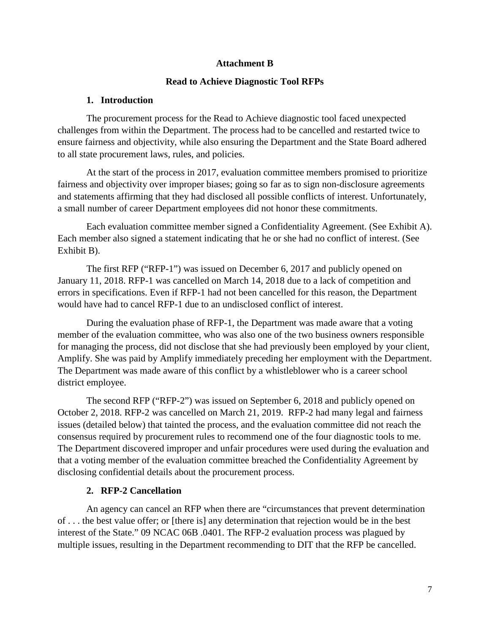## **Attachment B**

### **Read to Achieve Diagnostic Tool RFPs**

### **1. Introduction**

The procurement process for the Read to Achieve diagnostic tool faced unexpected challenges from within the Department. The process had to be cancelled and restarted twice to ensure fairness and objectivity, while also ensuring the Department and the State Board adhered to all state procurement laws, rules, and policies.

At the start of the process in 2017, evaluation committee members promised to prioritize fairness and objectivity over improper biases; going so far as to sign non-disclosure agreements and statements affirming that they had disclosed all possible conflicts of interest. Unfortunately, a small number of career Department employees did not honor these commitments.

Each evaluation committee member signed a Confidentiality Agreement. (See Exhibit A). Each member also signed a statement indicating that he or she had no conflict of interest. (See Exhibit B).

The first RFP ("RFP-1") was issued on December 6, 2017 and publicly opened on January 11, 2018. RFP-1 was cancelled on March 14, 2018 due to a lack of competition and errors in specifications. Even if RFP-1 had not been cancelled for this reason, the Department would have had to cancel RFP-1 due to an undisclosed conflict of interest.

During the evaluation phase of RFP-1, the Department was made aware that a voting member of the evaluation committee, who was also one of the two business owners responsible for managing the process, did not disclose that she had previously been employed by your client, Amplify. She was paid by Amplify immediately preceding her employment with the Department. The Department was made aware of this conflict by a whistleblower who is a career school district employee.

The second RFP ("RFP-2") was issued on September 6, 2018 and publicly opened on October 2, 2018. RFP-2 was cancelled on March 21, 2019. RFP-2 had many legal and fairness issues (detailed below) that tainted the process, and the evaluation committee did not reach the consensus required by procurement rules to recommend one of the four diagnostic tools to me. The Department discovered improper and unfair procedures were used during the evaluation and that a voting member of the evaluation committee breached the Confidentiality Agreement by disclosing confidential details about the procurement process.

### **2. RFP-2 Cancellation**

An agency can cancel an RFP when there are "circumstances that prevent determination of . . . the best value offer; or [there is] any determination that rejection would be in the best interest of the State." 09 NCAC 06B .0401. The RFP-2 evaluation process was plagued by multiple issues, resulting in the Department recommending to DIT that the RFP be cancelled.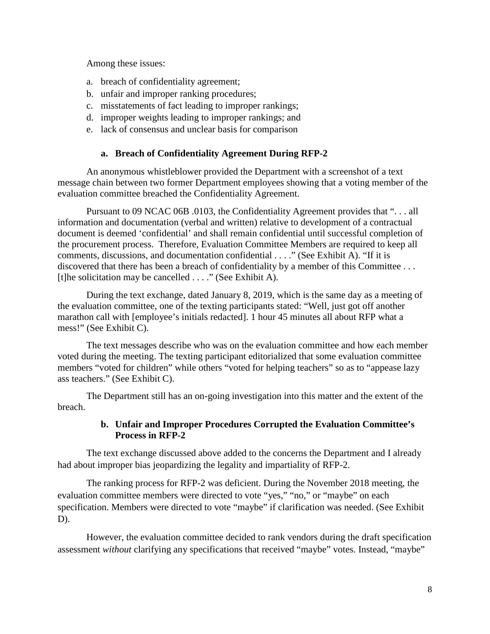Among these issues:

- a. breach of confidentiality agreement;
- b. unfair and improper ranking procedures;
- c. misstatements of fact leading to improper rankings;
- d. improper weights leading to improper rankings; and
- e. lack of consensus and unclear basis for comparison

### **a. Breach of Confidentiality Agreement During RFP-2**

An anonymous whistleblower provided the Department with a screenshot of a text message chain between two former Department employees showing that a voting member of the evaluation committee breached the Confidentiality Agreement.

Pursuant to 09 NCAC 06B .0103, the Confidentiality Agreement provides that "... all information and documentation (verbal and written) relative to development of a contractual document is deemed 'confidential' and shall remain confidential until successful completion of the procurement process. Therefore, Evaluation Committee Members are required to keep all comments, discussions, and documentation confidential . . . ." (See Exhibit A). "If it is discovered that there has been a breach of confidentiality by a member of this Committee . . . [t]he solicitation may be cancelled . . . ." (See Exhibit A).

During the text exchange, dated January 8, 2019, which is the same day as a meeting of the evaluation committee, one of the texting participants stated: "Well, just got off another marathon call with [employee's initials redacted]. 1 hour 45 minutes all about RFP what a mess!" (See Exhibit C).

The text messages describe who was on the evaluation committee and how each member voted during the meeting. The texting participant editorialized that some evaluation committee members "voted for children" while others "voted for helping teachers" so as to "appease lazy ass teachers." (See Exhibit C).

The Department still has an on-going investigation into this matter and the extent of the breach.

## **b. Unfair and Improper Procedures Corrupted the Evaluation Committee's Process in RFP-2**

The text exchange discussed above added to the concerns the Department and I already had about improper bias jeopardizing the legality and impartiality of RFP-2.

The ranking process for RFP-2 was deficient. During the November 2018 meeting, the evaluation committee members were directed to vote "yes," "no," or "maybe" on each specification. Members were directed to vote "maybe" if clarification was needed. (See Exhibit D).

However, the evaluation committee decided to rank vendors during the draft specification assessment *without* clarifying any specifications that received "maybe" votes. Instead, "maybe"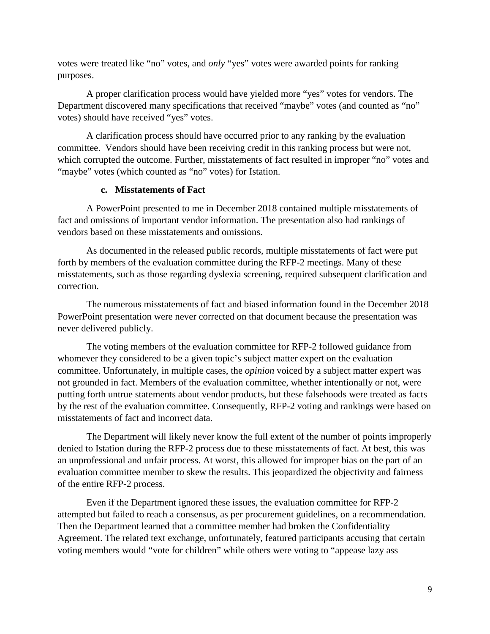votes were treated like "no" votes, and *only* "yes" votes were awarded points for ranking purposes.

A proper clarification process would have yielded more "yes" votes for vendors. The Department discovered many specifications that received "maybe" votes (and counted as "no" votes) should have received "yes" votes.

A clarification process should have occurred prior to any ranking by the evaluation committee. Vendors should have been receiving credit in this ranking process but were not, which corrupted the outcome. Further, misstatements of fact resulted in improper "no" votes and "maybe" votes (which counted as "no" votes) for Istation.

#### **c. Misstatements of Fact**

A PowerPoint presented to me in December 2018 contained multiple misstatements of fact and omissions of important vendor information. The presentation also had rankings of vendors based on these misstatements and omissions.

As documented in the released public records, multiple misstatements of fact were put forth by members of the evaluation committee during the RFP-2 meetings. Many of these misstatements, such as those regarding dyslexia screening, required subsequent clarification and correction.

The numerous misstatements of fact and biased information found in the December 2018 PowerPoint presentation were never corrected on that document because the presentation was never delivered publicly.

The voting members of the evaluation committee for RFP-2 followed guidance from whomever they considered to be a given topic's subject matter expert on the evaluation committee. Unfortunately, in multiple cases, the *opinion* voiced by a subject matter expert was not grounded in fact. Members of the evaluation committee, whether intentionally or not, were putting forth untrue statements about vendor products, but these falsehoods were treated as facts by the rest of the evaluation committee. Consequently, RFP-2 voting and rankings were based on misstatements of fact and incorrect data.

The Department will likely never know the full extent of the number of points improperly denied to Istation during the RFP-2 process due to these misstatements of fact. At best, this was an unprofessional and unfair process. At worst, this allowed for improper bias on the part of an evaluation committee member to skew the results. This jeopardized the objectivity and fairness of the entire RFP-2 process.

Even if the Department ignored these issues, the evaluation committee for RFP-2 attempted but failed to reach a consensus, as per procurement guidelines, on a recommendation. Then the Department learned that a committee member had broken the Confidentiality Agreement. The related text exchange, unfortunately, featured participants accusing that certain voting members would "vote for children" while others were voting to "appease lazy ass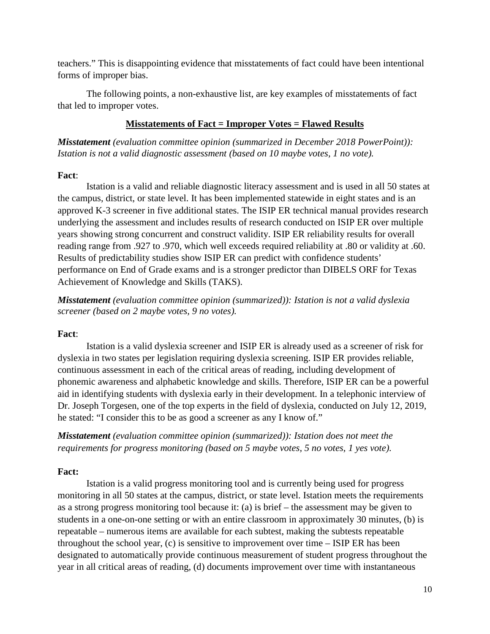teachers." This is disappointing evidence that misstatements of fact could have been intentional forms of improper bias.

The following points, a non-exhaustive list, are key examples of misstatements of fact that led to improper votes.

### **Misstatements of Fact = Improper Votes = Flawed Results**

*Misstatement (evaluation committee opinion (summarized in December 2018 PowerPoint)): Istation is not a valid diagnostic assessment (based on 10 maybe votes, 1 no vote).*

#### **Fact**:

Istation is a valid and reliable diagnostic literacy assessment and is used in all 50 states at the campus, district, or state level. It has been implemented statewide in eight states and is an approved K-3 screener in five additional states. The ISIP ER technical manual provides research underlying the assessment and includes results of research conducted on ISIP ER over multiple years showing strong concurrent and construct validity. ISIP ER reliability results for overall reading range from .927 to .970, which well exceeds required reliability at .80 or validity at .60. Results of predictability studies show ISIP ER can predict with confidence students' performance on End of Grade exams and is a stronger predictor than DIBELS ORF for Texas Achievement of Knowledge and Skills (TAKS).

*Misstatement (evaluation committee opinion (summarized)): Istation is not a valid dyslexia screener (based on 2 maybe votes, 9 no votes).*

#### **Fact**:

Istation is a valid dyslexia screener and ISIP ER is already used as a screener of risk for dyslexia in two states per legislation requiring dyslexia screening. ISIP ER provides reliable, continuous assessment in each of the critical areas of reading, including development of phonemic awareness and alphabetic knowledge and skills. Therefore, ISIP ER can be a powerful aid in identifying students with dyslexia early in their development. In a telephonic interview of Dr. Joseph Torgesen, one of the top experts in the field of dyslexia, conducted on July 12, 2019, he stated: "I consider this to be as good a screener as any I know of."

*Misstatement (evaluation committee opinion (summarized)): Istation does not meet the requirements for progress monitoring (based on 5 maybe votes, 5 no votes, 1 yes vote).*

#### **Fact:**

Istation is a valid progress monitoring tool and is currently being used for progress monitoring in all 50 states at the campus, district, or state level. Istation meets the requirements as a strong progress monitoring tool because it: (a) is brief – the assessment may be given to students in a one-on-one setting or with an entire classroom in approximately 30 minutes, (b) is repeatable – numerous items are available for each subtest, making the subtests repeatable throughout the school year, (c) is sensitive to improvement over time – ISIP ER has been designated to automatically provide continuous measurement of student progress throughout the year in all critical areas of reading, (d) documents improvement over time with instantaneous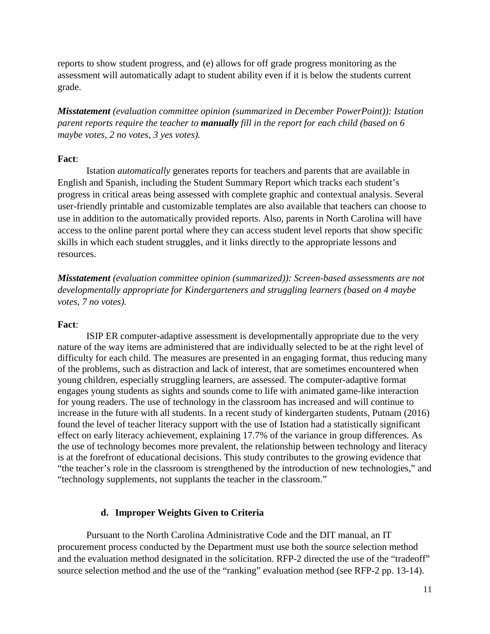reports to show student progress, and (e) allows for off grade progress monitoring as the assessment will automatically adapt to student ability even if it is below the students current grade.

*Misstatement (evaluation committee opinion (summarized in December PowerPoint)): Istation parent reports require the teacher to manually fill in the report for each child (based on 6 maybe votes, 2 no votes, 3 yes votes).*

#### **Fact**:

Istation *automatically* generates reports for teachers and parents that are available in English and Spanish, including the Student Summary Report which tracks each student's progress in critical areas being assessed with complete graphic and contextual analysis. Several user-friendly printable and customizable templates are also available that teachers can choose to use in addition to the automatically provided reports. Also, parents in North Carolina will have access to the online parent portal where they can access student level reports that show specific skills in which each student struggles, and it links directly to the appropriate lessons and resources.

*Misstatement (evaluation committee opinion (summarized)): Screen-based assessments are not developmentally appropriate for Kindergarteners and struggling learners (based on 4 maybe votes, 7 no votes).*

#### **Fact**:

ISIP ER computer-adaptive assessment is developmentally appropriate due to the very nature of the way items are administered that are individually selected to be at the right level of difficulty for each child. The measures are presented in an engaging format, thus reducing many of the problems, such as distraction and lack of interest, that are sometimes encountered when young children, especially struggling learners, are assessed. The computer-adaptive format engages young students as sights and sounds come to life with animated game-like interaction for young readers. The use of technology in the classroom has increased and will continue to increase in the future with all students. In a recent study of kindergarten students, Putnam (2016) found the level of teacher literacy support with the use of Istation had a statistically significant effect on early literacy achievement, explaining 17.7% of the variance in group differences. As the use of technology becomes more prevalent, the relationship between technology and literacy is at the forefront of educational decisions. This study contributes to the growing evidence that "the teacher's role in the classroom is strengthened by the introduction of new technologies," and "technology supplements, not supplants the teacher in the classroom."

#### **d. Improper Weights Given to Criteria**

Pursuant to the North Carolina Administrative Code and the DIT manual, an IT procurement process conducted by the Department must use both the source selection method and the evaluation method designated in the solicitation. RFP-2 directed the use of the "tradeoff" source selection method and the use of the "ranking" evaluation method (see RFP-2 pp. 13-14).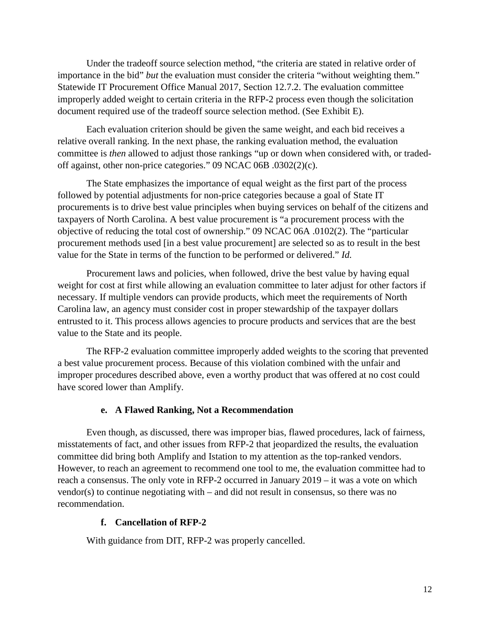Under the tradeoff source selection method, "the criteria are stated in relative order of importance in the bid" *but* the evaluation must consider the criteria "without weighting them." Statewide IT Procurement Office Manual 2017, Section 12.7.2. The evaluation committee improperly added weight to certain criteria in the RFP-2 process even though the solicitation document required use of the tradeoff source selection method. (See Exhibit E).

Each evaluation criterion should be given the same weight, and each bid receives a relative overall ranking. In the next phase, the ranking evaluation method, the evaluation committee is *then* allowed to adjust those rankings "up or down when considered with, or tradedoff against, other non-price categories." 09 NCAC 06B .0302(2)(c).

The State emphasizes the importance of equal weight as the first part of the process followed by potential adjustments for non-price categories because a goal of State IT procurements is to drive best value principles when buying services on behalf of the citizens and taxpayers of North Carolina. A best value procurement is "a procurement process with the objective of reducing the total cost of ownership." 09 NCAC 06A .0102(2). The "particular procurement methods used [in a best value procurement] are selected so as to result in the best value for the State in terms of the function to be performed or delivered." *Id.*

Procurement laws and policies, when followed, drive the best value by having equal weight for cost at first while allowing an evaluation committee to later adjust for other factors if necessary. If multiple vendors can provide products, which meet the requirements of North Carolina law, an agency must consider cost in proper stewardship of the taxpayer dollars entrusted to it. This process allows agencies to procure products and services that are the best value to the State and its people.

The RFP-2 evaluation committee improperly added weights to the scoring that prevented a best value procurement process. Because of this violation combined with the unfair and improper procedures described above, even a worthy product that was offered at no cost could have scored lower than Amplify.

### **e. A Flawed Ranking, Not a Recommendation**

Even though, as discussed, there was improper bias, flawed procedures, lack of fairness, misstatements of fact, and other issues from RFP-2 that jeopardized the results, the evaluation committee did bring both Amplify and Istation to my attention as the top-ranked vendors. However, to reach an agreement to recommend one tool to me, the evaluation committee had to reach a consensus. The only vote in RFP-2 occurred in January 2019 – it was a vote on which vendor(s) to continue negotiating with – and did not result in consensus, so there was no recommendation.

### **f. Cancellation of RFP-2**

With guidance from DIT, RFP-2 was properly cancelled.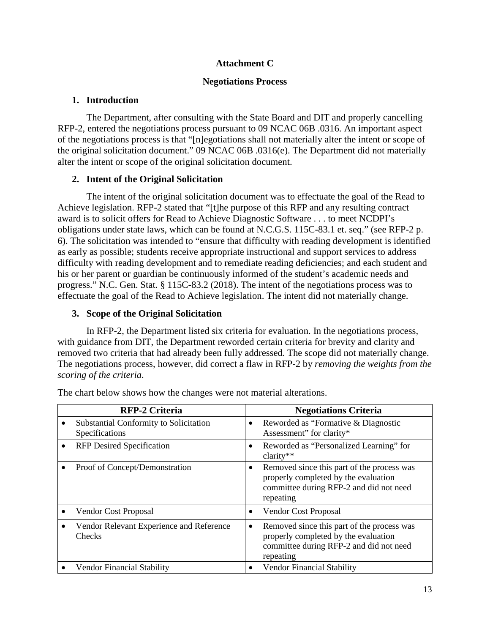## **Attachment C**

#### **Negotiations Process**

### **1. Introduction**

The Department, after consulting with the State Board and DIT and properly cancelling RFP-2, entered the negotiations process pursuant to 09 NCAC 06B .0316. An important aspect of the negotiations process is that "[n]egotiations shall not materially alter the intent or scope of the original solicitation document." 09 NCAC 06B .0316(e). The Department did not materially alter the intent or scope of the original solicitation document.

## **2. Intent of the Original Solicitation**

The intent of the original solicitation document was to effectuate the goal of the Read to Achieve legislation. RFP-2 stated that "[t]he purpose of this RFP and any resulting contract award is to solicit offers for Read to Achieve Diagnostic Software . . . to meet NCDPI's obligations under state laws, which can be found at N.C.G.S. 115C-83.1 et. seq." (see RFP-2 p. 6). The solicitation was intended to "ensure that difficulty with reading development is identified as early as possible; students receive appropriate instructional and support services to address difficulty with reading development and to remediate reading deficiencies; and each student and his or her parent or guardian be continuously informed of the student's academic needs and progress." N.C. Gen. Stat. § 115C-83.2 (2018). The intent of the negotiations process was to effectuate the goal of the Read to Achieve legislation. The intent did not materially change.

### **3. Scope of the Original Solicitation**

In RFP-2, the Department listed six criteria for evaluation. In the negotiations process, with guidance from DIT, the Department reworded certain criteria for brevity and clarity and removed two criteria that had already been fully addressed. The scope did not materially change. The negotiations process, however, did correct a flaw in RFP-2 by *removing the weights from the scoring of the criteria*.

| <b>RFP-2 Criteria</b>                                    |           | <b>Negotiations Criteria</b>                                                                                                               |
|----------------------------------------------------------|-----------|--------------------------------------------------------------------------------------------------------------------------------------------|
| Substantial Conformity to Solicitation<br>Specifications | $\bullet$ | Reworded as "Formative & Diagnostic<br>Assessment" for clarity*                                                                            |
| <b>RFP</b> Desired Specification                         | $\bullet$ | Reworded as "Personalized Learning" for<br>clarity**                                                                                       |
| Proof of Concept/Demonstration                           | $\bullet$ | Removed since this part of the process was<br>properly completed by the evaluation<br>committee during RFP-2 and did not need<br>repeating |
| <b>Vendor Cost Proposal</b>                              | $\bullet$ | <b>Vendor Cost Proposal</b>                                                                                                                |
| Vendor Relevant Experience and Reference<br>Checks       | ٠         | Removed since this part of the process was<br>properly completed by the evaluation<br>committee during RFP-2 and did not need<br>repeating |
| <b>Vendor Financial Stability</b>                        | $\bullet$ | <b>Vendor Financial Stability</b>                                                                                                          |

The chart below shows how the changes were not material alterations.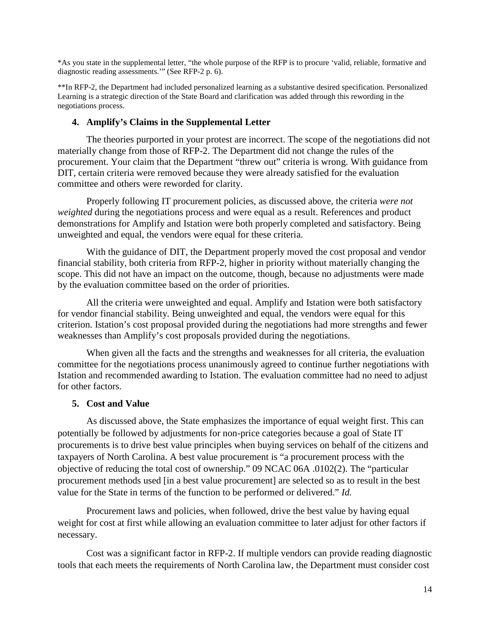\*As you state in the supplemental letter, "the whole purpose of the RFP is to procure 'valid, reliable, formative and diagnostic reading assessments.'" (See RFP-2 p. 6).

\*\*In RFP-2, the Department had included personalized learning as a substantive desired specification. Personalized Learning is a strategic direction of the State Board and clarification was added through this rewording in the negotiations process.

### **4. Amplify's Claims in the Supplemental Letter**

The theories purported in your protest are incorrect. The scope of the negotiations did not materially change from those of RFP-2. The Department did not change the rules of the procurement. Your claim that the Department "threw out" criteria is wrong. With guidance from DIT, certain criteria were removed because they were already satisfied for the evaluation committee and others were reworded for clarity.

Properly following IT procurement policies, as discussed above, the criteria *were not weighted* during the negotiations process and were equal as a result. References and product demonstrations for Amplify and Istation were both properly completed and satisfactory. Being unweighted and equal, the vendors were equal for these criteria.

With the guidance of DIT, the Department properly moved the cost proposal and vendor financial stability, both criteria from RFP-2, higher in priority without materially changing the scope. This did not have an impact on the outcome, though, because no adjustments were made by the evaluation committee based on the order of priorities.

All the criteria were unweighted and equal. Amplify and Istation were both satisfactory for vendor financial stability. Being unweighted and equal, the vendors were equal for this criterion. Istation's cost proposal provided during the negotiations had more strengths and fewer weaknesses than Amplify's cost proposals provided during the negotiations.

When given all the facts and the strengths and weaknesses for all criteria, the evaluation committee for the negotiations process unanimously agreed to continue further negotiations with Istation and recommended awarding to Istation. The evaluation committee had no need to adjust for other factors.

### **5. Cost and Value**

As discussed above, the State emphasizes the importance of equal weight first. This can potentially be followed by adjustments for non-price categories because a goal of State IT procurements is to drive best value principles when buying services on behalf of the citizens and taxpayers of North Carolina. A best value procurement is "a procurement process with the objective of reducing the total cost of ownership." 09 NCAC 06A .0102(2). The "particular procurement methods used [in a best value procurement] are selected so as to result in the best value for the State in terms of the function to be performed or delivered." *Id.*

Procurement laws and policies, when followed, drive the best value by having equal weight for cost at first while allowing an evaluation committee to later adjust for other factors if necessary.

Cost was a significant factor in RFP-2. If multiple vendors can provide reading diagnostic tools that each meets the requirements of North Carolina law, the Department must consider cost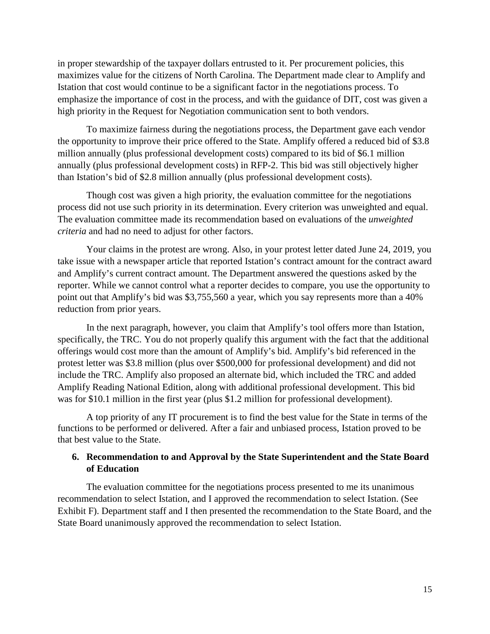in proper stewardship of the taxpayer dollars entrusted to it. Per procurement policies, this maximizes value for the citizens of North Carolina. The Department made clear to Amplify and Istation that cost would continue to be a significant factor in the negotiations process. To emphasize the importance of cost in the process, and with the guidance of DIT, cost was given a high priority in the Request for Negotiation communication sent to both vendors.

To maximize fairness during the negotiations process, the Department gave each vendor the opportunity to improve their price offered to the State. Amplify offered a reduced bid of \$3.8 million annually (plus professional development costs) compared to its bid of \$6.1 million annually (plus professional development costs) in RFP-2. This bid was still objectively higher than Istation's bid of \$2.8 million annually (plus professional development costs).

Though cost was given a high priority, the evaluation committee for the negotiations process did not use such priority in its determination. Every criterion was unweighted and equal. The evaluation committee made its recommendation based on evaluations of the *unweighted criteria* and had no need to adjust for other factors.

Your claims in the protest are wrong. Also, in your protest letter dated June 24, 2019, you take issue with a newspaper article that reported Istation's contract amount for the contract award and Amplify's current contract amount. The Department answered the questions asked by the reporter. While we cannot control what a reporter decides to compare, you use the opportunity to point out that Amplify's bid was \$3,755,560 a year, which you say represents more than a 40% reduction from prior years.

In the next paragraph, however, you claim that Amplify's tool offers more than Istation, specifically, the TRC. You do not properly qualify this argument with the fact that the additional offerings would cost more than the amount of Amplify's bid. Amplify's bid referenced in the protest letter was \$3.8 million (plus over \$500,000 for professional development) and did not include the TRC. Amplify also proposed an alternate bid, which included the TRC and added Amplify Reading National Edition, along with additional professional development. This bid was for \$10.1 million in the first year (plus \$1.2 million for professional development).

A top priority of any IT procurement is to find the best value for the State in terms of the functions to be performed or delivered. After a fair and unbiased process, Istation proved to be that best value to the State.

## **6. Recommendation to and Approval by the State Superintendent and the State Board of Education**

The evaluation committee for the negotiations process presented to me its unanimous recommendation to select Istation, and I approved the recommendation to select Istation. (See Exhibit F). Department staff and I then presented the recommendation to the State Board, and the State Board unanimously approved the recommendation to select Istation.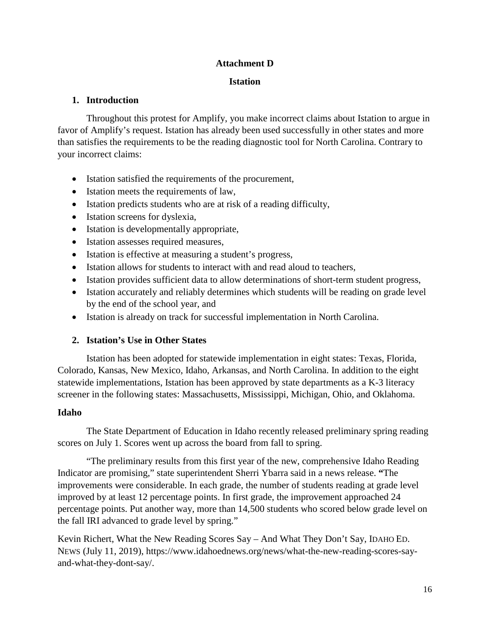## **Attachment D**

#### **Istation**

### **1. Introduction**

Throughout this protest for Amplify, you make incorrect claims about Istation to argue in favor of Amplify's request. Istation has already been used successfully in other states and more than satisfies the requirements to be the reading diagnostic tool for North Carolina. Contrary to your incorrect claims:

- Istation satisfied the requirements of the procurement,
- Istation meets the requirements of law,
- Istation predicts students who are at risk of a reading difficulty,
- Istation screens for dyslexia,
- Istation is developmentally appropriate,
- Istation assesses required measures,
- Istation is effective at measuring a student's progress,
- Istation allows for students to interact with and read aloud to teachers,
- Istation provides sufficient data to allow determinations of short-term student progress,
- Istation accurately and reliably determines which students will be reading on grade level by the end of the school year, and
- Istation is already on track for successful implementation in North Carolina.

### **2. Istation's Use in Other States**

Istation has been adopted for statewide implementation in eight states: Texas, Florida, Colorado, Kansas, New Mexico, Idaho, Arkansas, and North Carolina. In addition to the eight statewide implementations, Istation has been approved by state departments as a K-3 literacy screener in the following states: Massachusetts, Mississippi, Michigan, Ohio, and Oklahoma.

### **Idaho**

The State Department of Education in Idaho recently released preliminary spring reading scores on July 1. Scores went up across the board from fall to spring.

"The preliminary results from this first year of the new, comprehensive Idaho Reading Indicator are promising," state superintendent Sherri Ybarra said in a news release. **"**The improvements were considerable. In each grade, the number of students reading at grade level improved by at least 12 percentage points. In first grade, the improvement approached 24 percentage points. Put another way, more than 14,500 students who scored below grade level on the fall IRI advanced to grade level by spring."

Kevin Richert, What the New Reading Scores Say – And What They Don't Say, IDAHO ED. NEWS (July 11, 2019), https://www.idahoednews.org/news/what-the-new-reading-scores-sayand-what-they-dont-say/.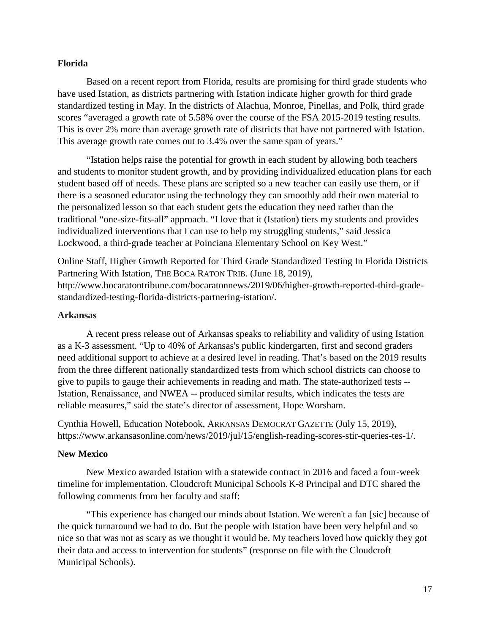#### **Florida**

Based on a recent report from Florida, results are promising for third grade students who have used Istation, as districts partnering with Istation indicate higher growth for third grade standardized testing in May. In the districts of Alachua, Monroe, Pinellas, and Polk, third grade scores "averaged a growth rate of 5.58% over the course of the FSA 2015-2019 testing results. This is over 2% more than average growth rate of districts that have not partnered with Istation. This average growth rate comes out to 3.4% over the same span of years."

"Istation helps raise the potential for growth in each student by allowing both teachers and students to monitor student growth, and by providing individualized education plans for each student based off of needs. These plans are scripted so a new teacher can easily use them, or if there is a seasoned educator using the technology they can smoothly add their own material to the personalized lesson so that each student gets the education they need rather than the traditional "one-size-fits-all" approach. "I love that it (Istation) tiers my students and provides individualized interventions that I can use to help my struggling students," said Jessica Lockwood, a third-grade teacher at Poinciana Elementary School on Key West."

Online Staff, Higher Growth Reported for Third Grade Standardized Testing In Florida Districts Partnering With Istation, THE BOCA RATON TRIB. (June 18, 2019), http://www.bocaratontribune.com/bocaratonnews/2019/06/higher-growth-reported-third-gradestandardized-testing-florida-districts-partnering-istation/.

#### **Arkansas**

A recent press release out of Arkansas speaks to reliability and validity of using Istation as a K-3 assessment. "Up to 40% of Arkansas's public kindergarten, first and second graders need additional support to achieve at a desired level in reading. That's based on the 2019 results from the three different nationally standardized tests from which school districts can choose to give to pupils to gauge their achievements in reading and math. The state-authorized tests -- Istation, Renaissance, and NWEA -- produced similar results, which indicates the tests are reliable measures," said the state's director of assessment, Hope Worsham.

Cynthia Howell, Education Notebook, ARKANSAS DEMOCRAT GAZETTE (July 15, 2019), https://www.arkansasonline.com/news/2019/jul/15/english-reading-scores-stir-queries-tes-1/.

### **New Mexico**

New Mexico awarded Istation with a statewide contract in 2016 and faced a four-week timeline for implementation. Cloudcroft Municipal Schools K-8 Principal and DTC shared the following comments from her faculty and staff:

"This experience has changed our minds about Istation. We weren't a fan [sic] because of the quick turnaround we had to do. But the people with Istation have been very helpful and so nice so that was not as scary as we thought it would be. My teachers loved how quickly they got their data and access to intervention for students" (response on file with the Cloudcroft Municipal Schools).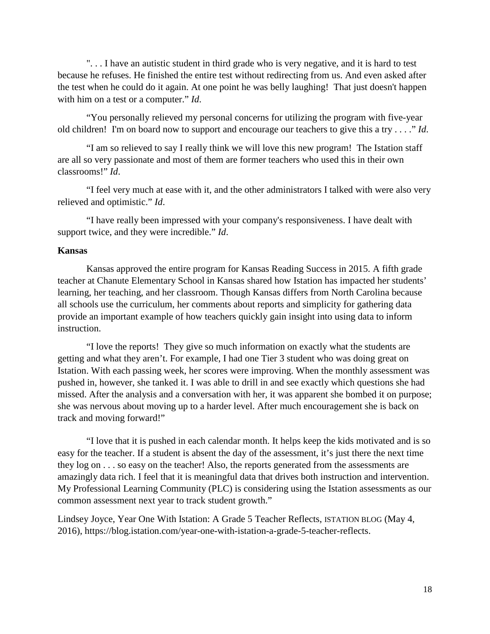". . . I have an autistic student in third grade who is very negative, and it is hard to test because he refuses. He finished the entire test without redirecting from us. And even asked after the test when he could do it again. At one point he was belly laughing! That just doesn't happen with him on a test or a computer." *Id*.

"You personally relieved my personal concerns for utilizing the program with five-year old children! I'm on board now to support and encourage our teachers to give this a try . . . ." *Id*.

"I am so relieved to say I really think we will love this new program! The Istation staff are all so very passionate and most of them are former teachers who used this in their own classrooms!" *Id*.

"I feel very much at ease with it, and the other administrators I talked with were also very relieved and optimistic." *Id*.

"I have really been impressed with your company's responsiveness. I have dealt with support twice, and they were incredible." *Id*.

#### **Kansas**

Kansas approved the entire program for Kansas Reading Success in 2015. A fifth grade teacher at Chanute Elementary School in Kansas shared how Istation has impacted her students' learning, her teaching, and her classroom. Though Kansas differs from North Carolina because all schools use the curriculum, her comments about reports and simplicity for gathering data provide an important example of how teachers quickly gain insight into using data to inform instruction.

"I love the reports! They give so much information on exactly what the students are getting and what they aren't. For example, I had one Tier 3 student who was doing great on Istation. With each passing week, her scores were improving. When the monthly assessment was pushed in, however, she tanked it. I was able to drill in and see exactly which questions she had missed. After the analysis and a conversation with her, it was apparent she bombed it on purpose; she was nervous about moving up to a harder level. After much encouragement she is back on track and moving forward!"

"I love that it is pushed in each calendar month. It helps keep the kids motivated and is so easy for the teacher. If a student is absent the day of the assessment, it's just there the next time they log on . . . so easy on the teacher! Also, the reports generated from the assessments are amazingly data rich. I feel that it is meaningful data that drives both instruction and intervention. My Professional Learning Community (PLC) is considering using the Istation assessments as our common assessment next year to track student growth."

Lindsey Joyce, Year One With Istation: A Grade 5 Teacher Reflects, ISTATION BLOG (May 4, 2016), https://blog.istation.com/year-one-with-istation-a-grade-5-teacher-reflects.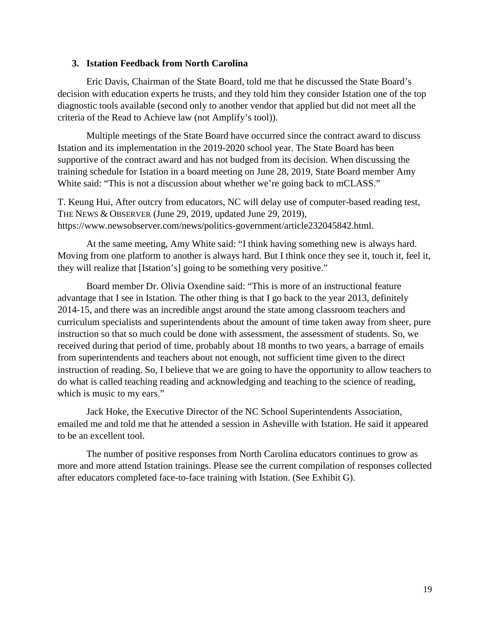#### **3. Istation Feedback from North Carolina**

Eric Davis, Chairman of the State Board, told me that he discussed the State Board's decision with education experts he trusts, and they told him they consider Istation one of the top diagnostic tools available (second only to another vendor that applied but did not meet all the criteria of the Read to Achieve law (not Amplify's tool)).

Multiple meetings of the State Board have occurred since the contract award to discuss Istation and its implementation in the 2019-2020 school year. The State Board has been supportive of the contract award and has not budged from its decision. When discussing the training schedule for Istation in a board meeting on June 28, 2019, State Board member Amy White said: "This is not a discussion about whether we're going back to mCLASS."

T. Keung Hui, After outcry from educators, NC will delay use of computer-based reading test, THE NEWS & OBSERVER (June 29, 2019, updated June 29, 2019), https://www.newsobserver.com/news/politics-government/article232045842.html.

At the same meeting, Amy White said: "I think having something new is always hard. Moving from one platform to another is always hard. But I think once they see it, touch it, feel it, they will realize that [Istation's] going to be something very positive."

Board member Dr. Olivia Oxendine said: "This is more of an instructional feature advantage that I see in Istation. The other thing is that I go back to the year 2013, definitely 2014-15, and there was an incredible angst around the state among classroom teachers and curriculum specialists and superintendents about the amount of time taken away from sheer, pure instruction so that so much could be done with assessment, the assessment of students. So, we received during that period of time, probably about 18 months to two years, a barrage of emails from superintendents and teachers about not enough, not sufficient time given to the direct instruction of reading. So, I believe that we are going to have the opportunity to allow teachers to do what is called teaching reading and acknowledging and teaching to the science of reading, which is music to my ears."

Jack Hoke, the Executive Director of the NC School Superintendents Association, emailed me and told me that he attended a session in Asheville with Istation. He said it appeared to be an excellent tool.

The number of positive responses from North Carolina educators continues to grow as more and more attend Istation trainings. Please see the current compilation of responses collected after educators completed face-to-face training with Istation. (See Exhibit G).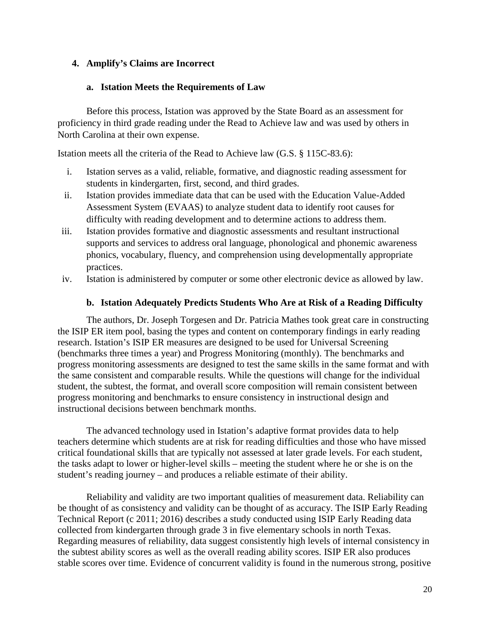## **4. Amplify's Claims are Incorrect**

## **a. Istation Meets the Requirements of Law**

Before this process, Istation was approved by the State Board as an assessment for proficiency in third grade reading under the Read to Achieve law and was used by others in North Carolina at their own expense.

Istation meets all the criteria of the Read to Achieve law (G.S. § 115C-83.6):

- i. Istation serves as a valid, reliable, formative, and diagnostic reading assessment for students in kindergarten, first, second, and third grades.
- ii. Istation provides immediate data that can be used with the Education Value-Added Assessment System (EVAAS) to analyze student data to identify root causes for difficulty with reading development and to determine actions to address them.
- iii. Istation provides formative and diagnostic assessments and resultant instructional supports and services to address oral language, phonological and phonemic awareness phonics, vocabulary, fluency, and comprehension using developmentally appropriate practices.
- iv. Istation is administered by computer or some other electronic device as allowed by law.

## **b. Istation Adequately Predicts Students Who Are at Risk of a Reading Difficulty**

The authors, Dr. Joseph Torgesen and Dr. Patricia Mathes took great care in constructing the ISIP ER item pool, basing the types and content on contemporary findings in early reading research. Istation's ISIP ER measures are designed to be used for Universal Screening (benchmarks three times a year) and Progress Monitoring (monthly). The benchmarks and progress monitoring assessments are designed to test the same skills in the same format and with the same consistent and comparable results. While the questions will change for the individual student, the subtest, the format, and overall score composition will remain consistent between progress monitoring and benchmarks to ensure consistency in instructional design and instructional decisions between benchmark months.

The advanced technology used in Istation's adaptive format provides data to help teachers determine which students are at risk for reading difficulties and those who have missed critical foundational skills that are typically not assessed at later grade levels. For each student, the tasks adapt to lower or higher-level skills – meeting the student where he or she is on the student's reading journey – and produces a reliable estimate of their ability.

Reliability and validity are two important qualities of measurement data. Reliability can be thought of as consistency and validity can be thought of as accuracy. The ISIP Early Reading Technical Report (c 2011; 2016) describes a study conducted using ISIP Early Reading data collected from kindergarten through grade 3 in five elementary schools in north Texas. Regarding measures of reliability, data suggest consistently high levels of internal consistency in the subtest ability scores as well as the overall reading ability scores. ISIP ER also produces stable scores over time. Evidence of concurrent validity is found in the numerous strong, positive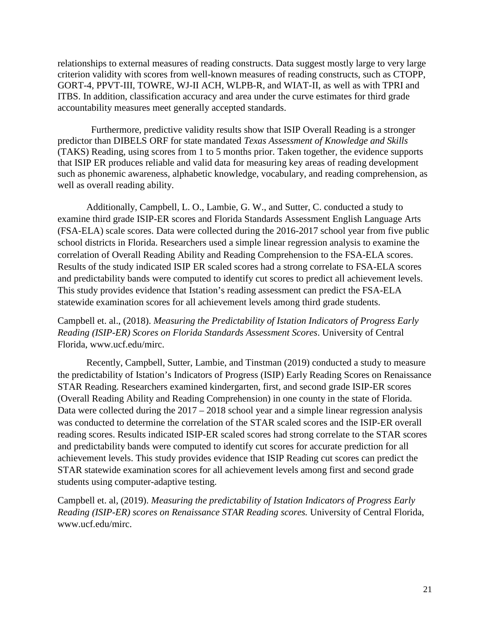relationships to external measures of reading constructs. Data suggest mostly large to very large criterion validity with scores from well-known measures of reading constructs, such as CTOPP, GORT-4, PPVT-III, TOWRE, WJ-II ACH, WLPB-R, and WIAT-II, as well as with TPRI and ITBS. In addition, classification accuracy and area under the curve estimates for third grade accountability measures meet generally accepted standards.

 Furthermore, predictive validity results show that ISIP Overall Reading is a stronger predictor than DIBELS ORF for state mandated *Texas Assessment of Knowledge and Skills*  (TAKS) Reading, using scores from 1 to 5 months prior. Taken together, the evidence supports that ISIP ER produces reliable and valid data for measuring key areas of reading development such as phonemic awareness, alphabetic knowledge, vocabulary, and reading comprehension, as well as overall reading ability.

Additionally, Campbell, L. O., Lambie, G. W., and Sutter, C. conducted a study to examine third grade ISIP-ER scores and Florida Standards Assessment English Language Arts (FSA-ELA) scale scores. Data were collected during the 2016-2017 school year from five public school districts in Florida. Researchers used a simple linear regression analysis to examine the correlation of Overall Reading Ability and Reading Comprehension to the FSA-ELA scores. Results of the study indicated ISIP ER scaled scores had a strong correlate to FSA-ELA scores and predictability bands were computed to identify cut scores to predict all achievement levels. This study provides evidence that Istation's reading assessment can predict the FSA-ELA statewide examination scores for all achievement levels among third grade students.

Campbell et. al., (2018). *Measuring the Predictability of Istation Indicators of Progress Early Reading (ISIP-ER) Scores on Florida Standards Assessment Scores*. University of Central Florida, www.ucf.edu/mirc.

Recently, Campbell, Sutter, Lambie, and Tinstman (2019) conducted a study to measure the predictability of Istation's Indicators of Progress (ISIP) Early Reading Scores on Renaissance STAR Reading. Researchers examined kindergarten, first, and second grade ISIP-ER scores (Overall Reading Ability and Reading Comprehension) in one county in the state of Florida. Data were collected during the 2017 – 2018 school year and a simple linear regression analysis was conducted to determine the correlation of the STAR scaled scores and the ISIP-ER overall reading scores. Results indicated ISIP-ER scaled scores had strong correlate to the STAR scores and predictability bands were computed to identify cut scores for accurate prediction for all achievement levels. This study provides evidence that ISIP Reading cut scores can predict the STAR statewide examination scores for all achievement levels among first and second grade students using computer-adaptive testing.

Campbell et. al, (2019). *Measuring the predictability of Istation Indicators of Progress Early Reading (ISIP-ER) scores on Renaissance STAR Reading scores.* University of Central Florida, www.ucf.edu/mirc.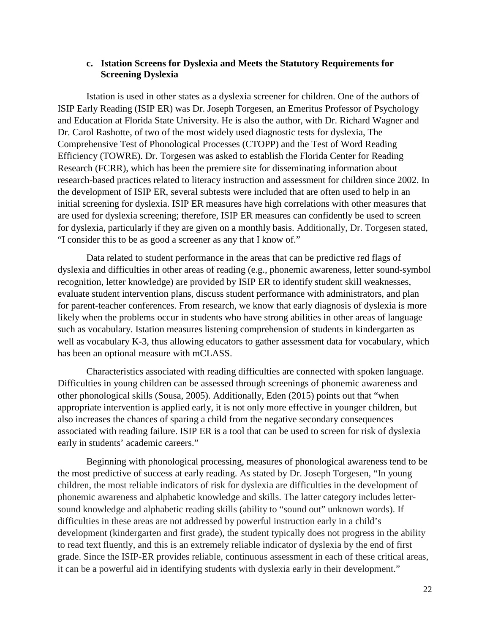### **c. Istation Screens for Dyslexia and Meets the Statutory Requirements for Screening Dyslexia**

Istation is used in other states as a dyslexia screener for children. One of the authors of ISIP Early Reading (ISIP ER) was Dr. Joseph Torgesen, an Emeritus Professor of Psychology and Education at Florida State University. He is also the author, with Dr. Richard Wagner and Dr. Carol Rashotte, of two of the most widely used diagnostic tests for dyslexia, The Comprehensive Test of Phonological Processes (CTOPP) and the Test of Word Reading Efficiency (TOWRE). Dr. Torgesen was asked to establish the Florida Center for Reading Research (FCRR), which has been the premiere site for disseminating information about research-based practices related to literacy instruction and assessment for children since 2002. In the development of ISIP ER, several subtests were included that are often used to help in an initial screening for dyslexia. ISIP ER measures have high correlations with other measures that are used for dyslexia screening; therefore, ISIP ER measures can confidently be used to screen for dyslexia, particularly if they are given on a monthly basis. Additionally, Dr. Torgesen stated, "I consider this to be as good a screener as any that I know of."

Data related to student performance in the areas that can be predictive red flags of dyslexia and difficulties in other areas of reading (e.g., phonemic awareness, letter sound-symbol recognition, letter knowledge) are provided by ISIP ER to identify student skill weaknesses, evaluate student intervention plans, discuss student performance with administrators, and plan for parent-teacher conferences. From research, we know that early diagnosis of dyslexia is more likely when the problems occur in students who have strong abilities in other areas of language such as vocabulary. Istation measures listening comprehension of students in kindergarten as well as vocabulary K-3, thus allowing educators to gather assessment data for vocabulary, which has been an optional measure with mCLASS.

Characteristics associated with reading difficulties are connected with spoken language. Difficulties in young children can be assessed through screenings of phonemic awareness and other phonological skills (Sousa, 2005). Additionally, Eden (2015) points out that "when appropriate intervention is applied early, it is not only more effective in younger children, but also increases the chances of sparing a child from the negative secondary consequences associated with reading failure. ISIP ER is a tool that can be used to screen for risk of dyslexia early in students' academic careers."

Beginning with phonological processing, measures of phonological awareness tend to be the most predictive of success at early reading. As stated by Dr. Joseph Torgesen, "In young children, the most reliable indicators of risk for dyslexia are difficulties in the development of phonemic awareness and alphabetic knowledge and skills. The latter category includes lettersound knowledge and alphabetic reading skills (ability to "sound out" unknown words). If difficulties in these areas are not addressed by powerful instruction early in a child's development (kindergarten and first grade), the student typically does not progress in the ability to read text fluently, and this is an extremely reliable indicator of dyslexia by the end of first grade. Since the ISIP-ER provides reliable, continuous assessment in each of these critical areas, it can be a powerful aid in identifying students with dyslexia early in their development."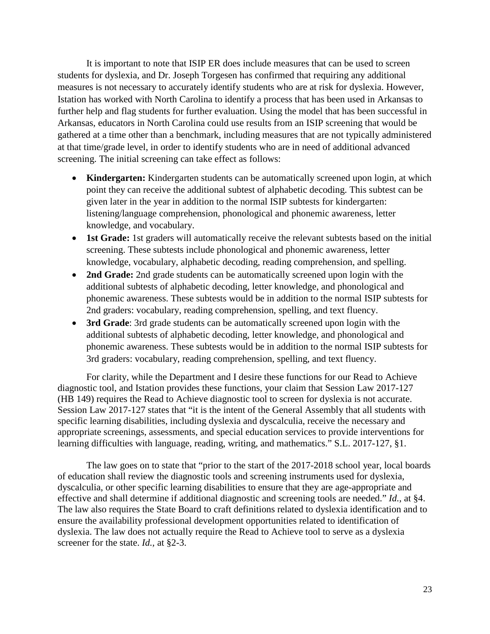It is important to note that ISIP ER does include measures that can be used to screen students for dyslexia, and Dr. Joseph Torgesen has confirmed that requiring any additional measures is not necessary to accurately identify students who are at risk for dyslexia. However, Istation has worked with North Carolina to identify a process that has been used in Arkansas to further help and flag students for further evaluation. Using the model that has been successful in Arkansas, educators in North Carolina could use results from an ISIP screening that would be gathered at a time other than a benchmark, including measures that are not typically administered at that time/grade level, in order to identify students who are in need of additional advanced screening. The initial screening can take effect as follows:

- **Kindergarten:** Kindergarten students can be automatically screened upon login, at which point they can receive the additional subtest of alphabetic decoding. This subtest can be given later in the year in addition to the normal ISIP subtests for kindergarten: listening/language comprehension, phonological and phonemic awareness, letter knowledge, and vocabulary.
- **1st Grade:** 1st graders will automatically receive the relevant subtests based on the initial screening. These subtests include phonological and phonemic awareness, letter knowledge, vocabulary, alphabetic decoding, reading comprehension, and spelling.
- **2nd Grade:** 2nd grade students can be automatically screened upon login with the additional subtests of alphabetic decoding, letter knowledge, and phonological and phonemic awareness. These subtests would be in addition to the normal ISIP subtests for 2nd graders: vocabulary, reading comprehension, spelling, and text fluency.
- **3rd Grade**: 3rd grade students can be automatically screened upon login with the additional subtests of alphabetic decoding, letter knowledge, and phonological and phonemic awareness. These subtests would be in addition to the normal ISIP subtests for 3rd graders: vocabulary, reading comprehension, spelling, and text fluency.

For clarity, while the Department and I desire these functions for our Read to Achieve diagnostic tool, and Istation provides these functions, your claim that Session Law 2017-127 (HB 149) requires the Read to Achieve diagnostic tool to screen for dyslexia is not accurate. Session Law 2017-127 states that "it is the intent of the General Assembly that all students with specific learning disabilities, including dyslexia and dyscalculia, receive the necessary and appropriate screenings, assessments, and special education services to provide interventions for learning difficulties with language, reading, writing, and mathematics." S.L. 2017-127, §1.

The law goes on to state that "prior to the start of the 2017-2018 school year, local boards of education shall review the diagnostic tools and screening instruments used for dyslexia, dyscalculia, or other specific learning disabilities to ensure that they are age-appropriate and effective and shall determine if additional diagnostic and screening tools are needed." *Id.,* at §4. The law also requires the State Board to craft definitions related to dyslexia identification and to ensure the availability professional development opportunities related to identification of dyslexia. The law does not actually require the Read to Achieve tool to serve as a dyslexia screener for the state. *Id.,* at §2-3.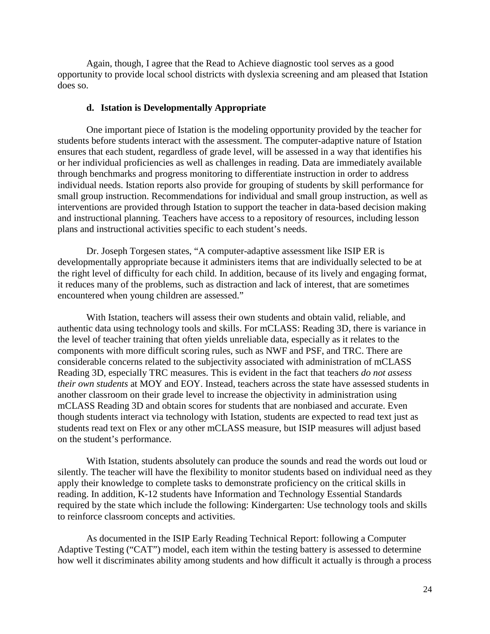Again, though, I agree that the Read to Achieve diagnostic tool serves as a good opportunity to provide local school districts with dyslexia screening and am pleased that Istation does so.

#### **d. Istation is Developmentally Appropriate**

One important piece of Istation is the modeling opportunity provided by the teacher for students before students interact with the assessment. The computer-adaptive nature of Istation ensures that each student, regardless of grade level, will be assessed in a way that identifies his or her individual proficiencies as well as challenges in reading. Data are immediately available through benchmarks and progress monitoring to differentiate instruction in order to address individual needs. Istation reports also provide for grouping of students by skill performance for small group instruction. Recommendations for individual and small group instruction, as well as interventions are provided through Istation to support the teacher in data-based decision making and instructional planning. Teachers have access to a repository of resources, including lesson plans and instructional activities specific to each student's needs.

Dr. Joseph Torgesen states, "A computer-adaptive assessment like ISIP ER is developmentally appropriate because it administers items that are individually selected to be at the right level of difficulty for each child. In addition, because of its lively and engaging format, it reduces many of the problems, such as distraction and lack of interest, that are sometimes encountered when young children are assessed."

With Istation, teachers will assess their own students and obtain valid, reliable, and authentic data using technology tools and skills. For mCLASS: Reading 3D, there is variance in the level of teacher training that often yields unreliable data, especially as it relates to the components with more difficult scoring rules, such as NWF and PSF, and TRC. There are considerable concerns related to the subjectivity associated with administration of mCLASS Reading 3D, especially TRC measures. This is evident in the fact that teachers *do not assess their own students* at MOY and EOY. Instead, teachers across the state have assessed students in another classroom on their grade level to increase the objectivity in administration using mCLASS Reading 3D and obtain scores for students that are nonbiased and accurate. Even though students interact via technology with Istation, students are expected to read text just as students read text on Flex or any other mCLASS measure, but ISIP measures will adjust based on the student's performance.

With Istation, students absolutely can produce the sounds and read the words out loud or silently. The teacher will have the flexibility to monitor students based on individual need as they apply their knowledge to complete tasks to demonstrate proficiency on the critical skills in reading. In addition, K-12 students have Information and Technology Essential Standards required by the state which include the following: Kindergarten: Use technology tools and skills to reinforce classroom concepts and activities.

As documented in the ISIP Early Reading Technical Report: following a Computer Adaptive Testing ("CAT") model, each item within the testing battery is assessed to determine how well it discriminates ability among students and how difficult it actually is through a process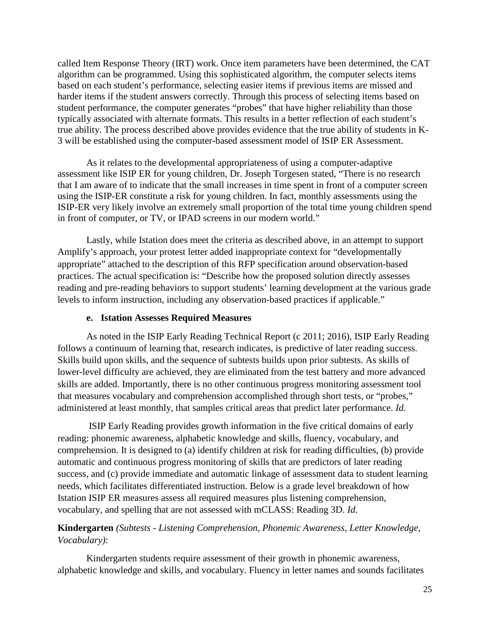called Item Response Theory (IRT) work. Once item parameters have been determined, the CAT algorithm can be programmed. Using this sophisticated algorithm, the computer selects items based on each student's performance, selecting easier items if previous items are missed and harder items if the student answers correctly. Through this process of selecting items based on student performance, the computer generates "probes" that have higher reliability than those typically associated with alternate formats. This results in a better reflection of each student's true ability. The process described above provides evidence that the true ability of students in K-3 will be established using the computer-based assessment model of ISIP ER Assessment.

As it relates to the developmental appropriateness of using a computer-adaptive assessment like ISIP ER for young children, Dr. Joseph Torgesen stated, "There is no research that I am aware of to indicate that the small increases in time spent in front of a computer screen using the ISIP-ER constitute a risk for young children. In fact, monthly assessments using the ISIP-ER very likely involve an extremely small proportion of the total time young children spend in front of computer, or TV, or IPAD screens in our modern world."

Lastly, while Istation does meet the criteria as described above, in an attempt to support Amplify's approach, your protest letter added inappropriate context for "developmentally appropriate" attached to the description of this RFP specification around observation-based practices. The actual specification is: "Describe how the proposed solution directly assesses reading and pre-reading behaviors to support students' learning development at the various grade levels to inform instruction, including any observation-based practices if applicable."

#### **e. Istation Assesses Required Measures**

As noted in the ISIP Early Reading Technical Report (c 2011; 2016), ISIP Early Reading follows a continuum of learning that, research indicates, is predictive of later reading success. Skills build upon skills, and the sequence of subtests builds upon prior subtests. As skills of lower-level difficulty are achieved, they are eliminated from the test battery and more advanced skills are added. Importantly, there is no other continuous progress monitoring assessment tool that measures vocabulary and comprehension accomplished through short tests, or "probes," administered at least monthly, that samples critical areas that predict later performance. *Id.*

ISIP Early Reading provides growth information in the five critical domains of early reading: phonemic awareness, alphabetic knowledge and skills, fluency, vocabulary, and comprehension. It is designed to (a) identify children at risk for reading difficulties, (b) provide automatic and continuous progress monitoring of skills that are predictors of later reading success, and (c) provide immediate and automatic linkage of assessment data to student learning needs, which facilitates differentiated instruction. Below is a grade level breakdown of how Istation ISIP ER measures assess all required measures plus listening comprehension, vocabulary, and spelling that are not assessed with mCLASS: Reading 3D. *Id*.

## **Kindergarten** *(Subtests - Listening Comprehension, Phonemic Awareness, Letter Knowledge, Vocabulary)*:

Kindergarten students require assessment of their growth in phonemic awareness, alphabetic knowledge and skills, and vocabulary. Fluency in letter names and sounds facilitates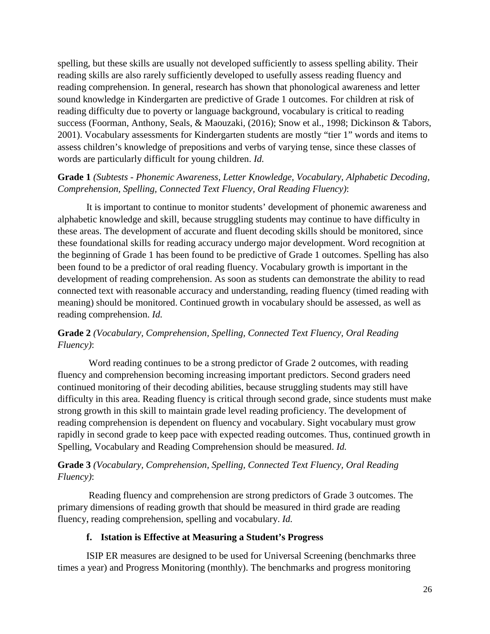spelling, but these skills are usually not developed sufficiently to assess spelling ability. Their reading skills are also rarely sufficiently developed to usefully assess reading fluency and reading comprehension. In general, research has shown that phonological awareness and letter sound knowledge in Kindergarten are predictive of Grade 1 outcomes. For children at risk of reading difficulty due to poverty or language background, vocabulary is critical to reading success (Foorman, Anthony, Seals, & Maouzaki, (2016); Snow et al., 1998; Dickinson & Tabors, 2001). Vocabulary assessments for Kindergarten students are mostly "tier 1" words and items to assess children's knowledge of prepositions and verbs of varying tense, since these classes of words are particularly difficult for young children. *Id.*

## **Grade 1** *(Subtests - Phonemic Awareness, Letter Knowledge, Vocabulary, Alphabetic Decoding, Comprehension, Spelling, Connected Text Fluency, Oral Reading Fluency)*:

It is important to continue to monitor students' development of phonemic awareness and alphabetic knowledge and skill, because struggling students may continue to have difficulty in these areas. The development of accurate and fluent decoding skills should be monitored, since these foundational skills for reading accuracy undergo major development. Word recognition at the beginning of Grade 1 has been found to be predictive of Grade 1 outcomes. Spelling has also been found to be a predictor of oral reading fluency. Vocabulary growth is important in the development of reading comprehension. As soon as students can demonstrate the ability to read connected text with reasonable accuracy and understanding, reading fluency (timed reading with meaning) should be monitored. Continued growth in vocabulary should be assessed, as well as reading comprehension. *Id.*

## **Grade 2** *(Vocabulary, Comprehension, Spelling, Connected Text Fluency, Oral Reading Fluency)*:

Word reading continues to be a strong predictor of Grade 2 outcomes, with reading fluency and comprehension becoming increasing important predictors. Second graders need continued monitoring of their decoding abilities, because struggling students may still have difficulty in this area. Reading fluency is critical through second grade, since students must make strong growth in this skill to maintain grade level reading proficiency. The development of reading comprehension is dependent on fluency and vocabulary. Sight vocabulary must grow rapidly in second grade to keep pace with expected reading outcomes. Thus, continued growth in Spelling, Vocabulary and Reading Comprehension should be measured. *Id.*

## **Grade 3** *(Vocabulary, Comprehension, Spelling, Connected Text Fluency, Oral Reading Fluency)*:

Reading fluency and comprehension are strong predictors of Grade 3 outcomes. The primary dimensions of reading growth that should be measured in third grade are reading fluency, reading comprehension, spelling and vocabulary. *Id.*

## **f. Istation is Effective at Measuring a Student's Progress**

ISIP ER measures are designed to be used for Universal Screening (benchmarks three times a year) and Progress Monitoring (monthly). The benchmarks and progress monitoring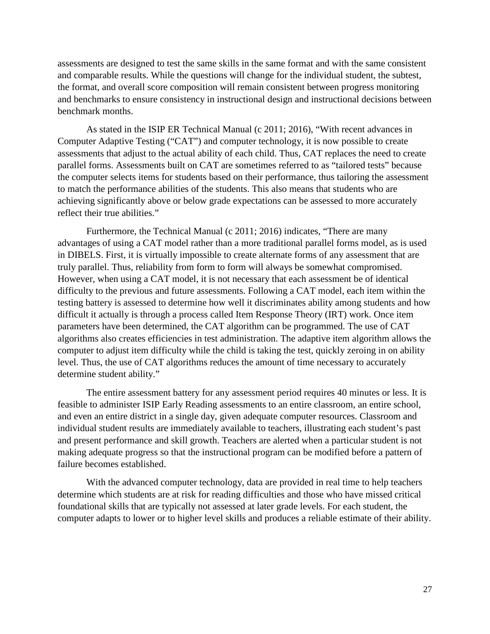assessments are designed to test the same skills in the same format and with the same consistent and comparable results. While the questions will change for the individual student, the subtest, the format, and overall score composition will remain consistent between progress monitoring and benchmarks to ensure consistency in instructional design and instructional decisions between benchmark months.

As stated in the ISIP ER Technical Manual (c 2011; 2016), "With recent advances in Computer Adaptive Testing ("CAT") and computer technology, it is now possible to create assessments that adjust to the actual ability of each child. Thus, CAT replaces the need to create parallel forms. Assessments built on CAT are sometimes referred to as "tailored tests" because the computer selects items for students based on their performance, thus tailoring the assessment to match the performance abilities of the students. This also means that students who are achieving significantly above or below grade expectations can be assessed to more accurately reflect their true abilities."

Furthermore, the Technical Manual (c 2011; 2016) indicates, "There are many advantages of using a CAT model rather than a more traditional parallel forms model, as is used in DIBELS. First, it is virtually impossible to create alternate forms of any assessment that are truly parallel. Thus, reliability from form to form will always be somewhat compromised. However, when using a CAT model, it is not necessary that each assessment be of identical difficulty to the previous and future assessments. Following a CAT model, each item within the testing battery is assessed to determine how well it discriminates ability among students and how difficult it actually is through a process called Item Response Theory (IRT) work. Once item parameters have been determined, the CAT algorithm can be programmed. The use of CAT algorithms also creates efficiencies in test administration. The adaptive item algorithm allows the computer to adjust item difficulty while the child is taking the test, quickly zeroing in on ability level. Thus, the use of CAT algorithms reduces the amount of time necessary to accurately determine student ability."

The entire assessment battery for any assessment period requires 40 minutes or less. It is feasible to administer ISIP Early Reading assessments to an entire classroom, an entire school, and even an entire district in a single day, given adequate computer resources. Classroom and individual student results are immediately available to teachers, illustrating each student's past and present performance and skill growth. Teachers are alerted when a particular student is not making adequate progress so that the instructional program can be modified before a pattern of failure becomes established.

With the advanced computer technology, data are provided in real time to help teachers determine which students are at risk for reading difficulties and those who have missed critical foundational skills that are typically not assessed at later grade levels. For each student, the computer adapts to lower or to higher level skills and produces a reliable estimate of their ability.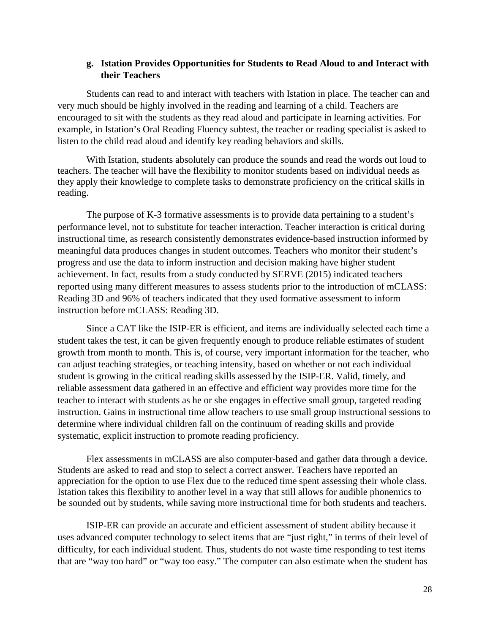## **g. Istation Provides Opportunities for Students to Read Aloud to and Interact with their Teachers**

Students can read to and interact with teachers with Istation in place. The teacher can and very much should be highly involved in the reading and learning of a child. Teachers are encouraged to sit with the students as they read aloud and participate in learning activities. For example, in Istation's Oral Reading Fluency subtest, the teacher or reading specialist is asked to listen to the child read aloud and identify key reading behaviors and skills.

With Istation, students absolutely can produce the sounds and read the words out loud to teachers. The teacher will have the flexibility to monitor students based on individual needs as they apply their knowledge to complete tasks to demonstrate proficiency on the critical skills in reading.

The purpose of K-3 formative assessments is to provide data pertaining to a student's performance level, not to substitute for teacher interaction. Teacher interaction is critical during instructional time, as research consistently demonstrates evidence-based instruction informed by meaningful data produces changes in student outcomes. Teachers who monitor their student's progress and use the data to inform instruction and decision making have higher student achievement. In fact, results from a study conducted by SERVE (2015) indicated teachers reported using many different measures to assess students prior to the introduction of mCLASS: Reading 3D and 96% of teachers indicated that they used formative assessment to inform instruction before mCLASS: Reading 3D.

Since a CAT like the ISIP-ER is efficient, and items are individually selected each time a student takes the test, it can be given frequently enough to produce reliable estimates of student growth from month to month. This is, of course, very important information for the teacher, who can adjust teaching strategies, or teaching intensity, based on whether or not each individual student is growing in the critical reading skills assessed by the ISIP-ER. Valid, timely, and reliable assessment data gathered in an effective and efficient way provides more time for the teacher to interact with students as he or she engages in effective small group, targeted reading instruction. Gains in instructional time allow teachers to use small group instructional sessions to determine where individual children fall on the continuum of reading skills and provide systematic, explicit instruction to promote reading proficiency.

Flex assessments in mCLASS are also computer-based and gather data through a device. Students are asked to read and stop to select a correct answer. Teachers have reported an appreciation for the option to use Flex due to the reduced time spent assessing their whole class. Istation takes this flexibility to another level in a way that still allows for audible phonemics to be sounded out by students, while saving more instructional time for both students and teachers.

ISIP-ER can provide an accurate and efficient assessment of student ability because it uses advanced computer technology to select items that are "just right," in terms of their level of difficulty, for each individual student. Thus, students do not waste time responding to test items that are "way too hard" or "way too easy." The computer can also estimate when the student has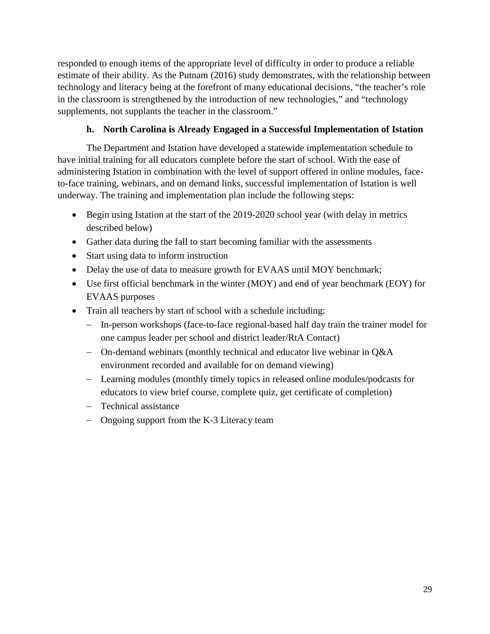responded to enough items of the appropriate level of difficulty in order to produce a reliable estimate of their ability. As the Putnam (2016) study demonstrates, with the relationship between technology and literacy being at the forefront of many educational decisions, "the teacher's role in the classroom is strengthened by the introduction of new technologies," and "technology supplements, not supplants the teacher in the classroom."

## **h. North Carolina is Already Engaged in a Successful Implementation of Istation**

The Department and Istation have developed a statewide implementation schedule to have initial training for all educators complete before the start of school. With the ease of administering Istation in combination with the level of support offered in online modules, faceto-face training, webinars, and on demand links, successful implementation of Istation is well underway. The training and implementation plan include the following steps:

- Begin using Istation at the start of the 2019-2020 school year (with delay in metrics described below)
- Gather data during the fall to start becoming familiar with the assessments
- Start using data to inform instruction
- Delay the use of data to measure growth for EVAAS until MOY benchmark;
- Use first official benchmark in the winter (MOY) and end of year benchmark (EOY) for EVAAS purposes
- Train all teachers by start of school with a schedule including:
	- − In-person workshops (face-to-face regional-based half day train the trainer model for one campus leader per school and district leader/RtA Contact)
	- − On-demand webinars (monthly technical and educator live webinar in Q&A environment recorded and available for on demand viewing)
	- − Learning modules (monthly timely topics in released online modules/podcasts for educators to view brief course, complete quiz, get certificate of completion)
	- − Technical assistance
	- − Ongoing support from the K-3 Literacy team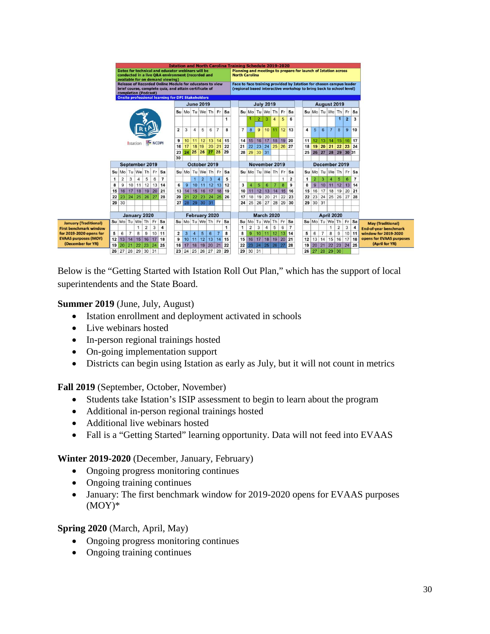|                               |                                                                                                                                            |                |                |          |                      |       |                     |  | <b>Istation and North Carolina Training Schedule 2019-2020</b>                                                                                                                       |       |                |                  |                                                                                         |                |          |                                                                                                                                            |                |                |                |          |                   |                       |                         |              |                |                      |                |                   |                |                |
|-------------------------------|--------------------------------------------------------------------------------------------------------------------------------------------|----------------|----------------|----------|----------------------|-------|---------------------|--|--------------------------------------------------------------------------------------------------------------------------------------------------------------------------------------|-------|----------------|------------------|-----------------------------------------------------------------------------------------|----------------|----------|--------------------------------------------------------------------------------------------------------------------------------------------|----------------|----------------|----------------|----------|-------------------|-----------------------|-------------------------|--------------|----------------|----------------------|----------------|-------------------|----------------|----------------|
|                               | Dates for technical and educator webinars will be<br>conducted in a live Q&A environment (recorded and<br>available for on demand viewing) |                |                |          |                      |       |                     |  |                                                                                                                                                                                      |       |                |                  | Planning and meetings to prepare for launch of Istation across<br><b>North Carolina</b> |                |          |                                                                                                                                            |                |                |                |          |                   |                       |                         |              |                |                      |                |                   |                |                |
|                               |                                                                                                                                            |                |                |          | completion (Podcast) |       |                     |  | <b>Release of Recorded Online Module for educators to view</b><br>brief course, complete quiz, and attain certificate of<br><b>Onsite professional learning for DPI Stakeholders</b> |       |                |                  |                                                                                         |                |          | Face to face training provided by Istation for chosen campus leader<br>(regional based interactive workshop to bring back to school level) |                |                |                |          |                   |                       |                         |              |                |                      |                |                   |                |                |
|                               |                                                                                                                                            |                |                |          |                      |       |                     |  |                                                                                                                                                                                      |       |                | <b>June 2019</b> |                                                                                         |                |          |                                                                                                                                            |                |                |                |          |                   |                       |                         |              |                |                      |                |                   |                |                |
|                               |                                                                                                                                            |                |                |          |                      |       |                     |  |                                                                                                                                                                                      |       |                |                  |                                                                                         |                |          | <b>July 2019</b><br>August 2019<br>Su Mo Tu We Th<br>Su Mo Tu We Th Fr Sa                                                                  |                |                |                |          |                   |                       |                         |              |                |                      |                |                   |                |                |
|                               |                                                                                                                                            |                |                |          |                      |       |                     |  |                                                                                                                                                                                      |       |                |                  | Su Mo Tu We Th Fr                                                                       |                | Sa       |                                                                                                                                            |                |                |                |          |                   |                       | Fr Sa                   |              |                |                      |                |                   |                |                |
|                               |                                                                                                                                            |                |                |          |                      |       |                     |  |                                                                                                                                                                                      |       |                |                  |                                                                                         |                | 1        |                                                                                                                                            |                | 1              | 2 <sup>1</sup> | 3        | $\overline{4}$    | 5                     | 6                       |              |                |                      |                | $\mathbf{1}$      | $\overline{2}$ | 3              |
|                               |                                                                                                                                            |                |                |          |                      |       |                     |  | 2                                                                                                                                                                                    | 3     | $\overline{4}$ | 5                | 6                                                                                       | $\overline{7}$ | 8        |                                                                                                                                            | $\overline{7}$ | 8              | 9              | $10$ 11  |                   |                       | $12$ 13                 | 4            |                | 5<br>6               | $\overline{7}$ | 8                 | $\mathbf{9}$   | 10             |
|                               |                                                                                                                                            |                |                | Istation |                      |       | <b>NCDPI</b>        |  | 9                                                                                                                                                                                    | 10    | 11             |                  | $12$ 13 14                                                                              |                | 15       |                                                                                                                                            |                |                |                |          | 14 15 16 17 18    |                       | 19 20                   | 11           |                | 12 13 14 15 16 17    |                |                   |                |                |
|                               |                                                                                                                                            |                |                |          |                      |       |                     |  | 16                                                                                                                                                                                   | 17    | 18             | 19               | 20                                                                                      | 21             | 22       |                                                                                                                                            | 21             | 22             | 23 24          |          | 25                |                       | 26 27                   | 18           |                | 19 20 21             |                |                   |                | 22 23 24       |
|                               |                                                                                                                                            |                |                |          |                      |       |                     |  | 23                                                                                                                                                                                   |       |                |                  | 24 25 26 27 28                                                                          |                | 29       |                                                                                                                                            |                |                | 28 29 30 31    |          |                   |                       |                         |              |                | 25 26 27 28 29 30 31 |                |                   |                |                |
|                               |                                                                                                                                            |                |                |          |                      |       |                     |  | 30                                                                                                                                                                                   |       |                |                  |                                                                                         |                |          |                                                                                                                                            |                |                |                |          |                   |                       |                         |              |                |                      |                |                   |                |                |
|                               |                                                                                                                                            |                |                |          | September 2019       |       |                     |  |                                                                                                                                                                                      |       |                |                  | October 2019                                                                            |                |          |                                                                                                                                            |                |                |                |          | November 2019     |                       |                         |              |                | December 2019        |                |                   |                |                |
|                               |                                                                                                                                            |                |                |          | Su Mo Tu We Th       |       | Fr<br>Sa            |  |                                                                                                                                                                                      |       |                |                  | Su Mo Tu We Th Fr                                                                       |                | Sa       |                                                                                                                                            |                |                |                |          | Su Mo Tu We Th Fr |                       | Sa                      |              |                | Su Mo Tu We Th       |                |                   | Fr             | Sa             |
|                               | 1                                                                                                                                          | $\overline{2}$ | 3              | 4        | 5                    |       | 6<br>$\overline{7}$ |  |                                                                                                                                                                                      |       | $\mathbf{1}$   | $\overline{2}$   | $\mathbf{3}$                                                                            | $\overline{4}$ | 5        |                                                                                                                                            |                |                |                |          |                   | $\mathbf{1}$          | $\overline{\mathbf{2}}$ | $\mathbf{1}$ |                | 2<br>3               | $\overline{4}$ | 5                 | 6              | $\overline{7}$ |
|                               | 8                                                                                                                                          | 9              |                |          | $10$ 11 12           |       | 13 14               |  | 6                                                                                                                                                                                    | 9     | 10             |                  | $11$ 12                                                                                 | 13             | 12       |                                                                                                                                            | 3              | $\overline{4}$ | 5              | 6        |                   | 8                     | 9                       | 8            | $\overline{9}$ |                      |                | $10$ 11 12        | 13             | 14             |
|                               | 15                                                                                                                                         | 16             |                | 17 18    | 19                   |       | 20<br>21            |  | 13                                                                                                                                                                                   | 14    | 15             |                  | 16 17                                                                                   | 18             | 19       |                                                                                                                                            | 10             | 11             |                | 12 13 14 |                   | 15                    | 16                      | 15           | 16             | 17                   | 18             |                   | $19$ 20        | 21             |
|                               | 22                                                                                                                                         |                | 23 24 25       |          | 26                   |       | 27<br>28            |  | 20                                                                                                                                                                                   | 21    | 22             |                  | 23 24                                                                                   | 25             | 26       |                                                                                                                                            | 17             | 18             |                | 19 20    | 21                | 22                    | 23                      | 22           | 23             | 24                   |                | 25 26 27          |                | 28             |
|                               | 29                                                                                                                                         | 30             |                |          |                      |       |                     |  | 27                                                                                                                                                                                   |       |                | 28 29 30 31      |                                                                                         |                |          |                                                                                                                                            | 24             | 25             | 26 27          |          | 28                |                       | 29 30                   |              | 29             | 30 31                |                |                   |                |                |
|                               |                                                                                                                                            |                |                |          |                      |       |                     |  |                                                                                                                                                                                      |       |                |                  |                                                                                         |                |          |                                                                                                                                            |                |                |                |          |                   |                       |                         |              |                |                      |                |                   |                |                |
|                               |                                                                                                                                            |                |                |          | January 2020         |       |                     |  | February 2020                                                                                                                                                                        |       |                |                  |                                                                                         |                |          |                                                                                                                                            |                |                |                |          | <b>March 2020</b> |                       |                         |              |                |                      |                | <b>April 2020</b> |                |                |
| <b>January (Traditional)</b>  |                                                                                                                                            |                |                |          | Su Mo Tu We Th       | Fr    | Sa                  |  |                                                                                                                                                                                      |       |                |                  | Su Mo Tu We Th Fr                                                                       |                | Sa       |                                                                                                                                            |                |                | Su Mo Tu We Th |          |                   |                       | Fr Sa                   |              |                | Su Mo Tu We          |                | Th                |                | Fr Sa          |
| <b>First benchmark window</b> |                                                                                                                                            |                |                | 1        | 2                    |       | 3<br>4              |  |                                                                                                                                                                                      |       |                |                  |                                                                                         |                | 1        |                                                                                                                                            | $\mathbf{1}$   | $\overline{2}$ | 3              | 4        | 5                 | 6                     | $\overline{7}$          |              |                |                      | $\mathbf{1}$   | $\overline{2}$    | 3              | 4              |
| for 2019-2020 opens for       | 5                                                                                                                                          | 6              | $\overline{7}$ | 8        | $\overline{9}$       |       | 10<br>11            |  | $2^{\circ}$                                                                                                                                                                          | 3     | $\overline{4}$ | 5                | 6                                                                                       | $\overline{7}$ | 8        |                                                                                                                                            | 8              | $\overline{9}$ | 10 11          |          | 12                |                       | $13$ 14                 | 5            | 6              | $\overline{7}$       | 8              | $\mathsf g$       |                | $10$ 11        |
|                               |                                                                                                                                            |                | 13 14          | 15       |                      | 16 17 | 18                  |  | 9                                                                                                                                                                                    | 10 11 |                |                  | $12$ 13 14                                                                              |                | 15       |                                                                                                                                            | 15             |                | 16 17 18 19    |          |                   | $\vert$ 20 $\vert$ 21 |                         |              |                | $12$ 13 14           | 15             | 16                |                | $17$ 18        |
| <b>EVAAS purposes (MOY)</b>   | 12                                                                                                                                         |                |                |          |                      |       |                     |  |                                                                                                                                                                                      |       |                |                  |                                                                                         |                |          |                                                                                                                                            |                |                |                |          |                   |                       |                         |              |                |                      |                |                   |                |                |
| (December for YR)             | 19<br>26                                                                                                                                   | 20<br>27       | 21<br>28       | 22       | 23<br>29 30 31       |       | 24<br>25            |  | 16<br>23                                                                                                                                                                             | 17    | 18             |                  | 19 20<br>24 25 26 27                                                                    | 21<br>28       | 22<br>29 |                                                                                                                                            | 22             | 29 30 31       | 23 24 25 26    |          |                   | 27                    | 28                      | 19           | 20             | 21<br>26 27 28 29 30 | 22             |                   |                | 23 24 25       |

Below is the "Getting Started with Istation Roll Out Plan," which has the support of local superintendents and the State Board.

**Summer 2019** (June, July, August)

- Istation enrollment and deployment activated in schools
- Live webinars hosted
- In-person regional trainings hosted
- On-going implementation support
- Districts can begin using Istation as early as July, but it will not count in metrics

**Fall 2019** (September, October, November)

- Students take Istation's ISIP assessment to begin to learn about the program
- Additional in-person regional trainings hosted
- Additional live webinars hosted
- Fall is a "Getting Started" learning opportunity. Data will not feed into EVAAS

**Winter 2019-2020** (December, January, February)

- Ongoing progress monitoring continues
- Ongoing training continues
- January: The first benchmark window for 2019-2020 opens for EVAAS purposes  $(MOY)*$

**Spring 2020** (March, April, May)

- Ongoing progress monitoring continues
- Ongoing training continues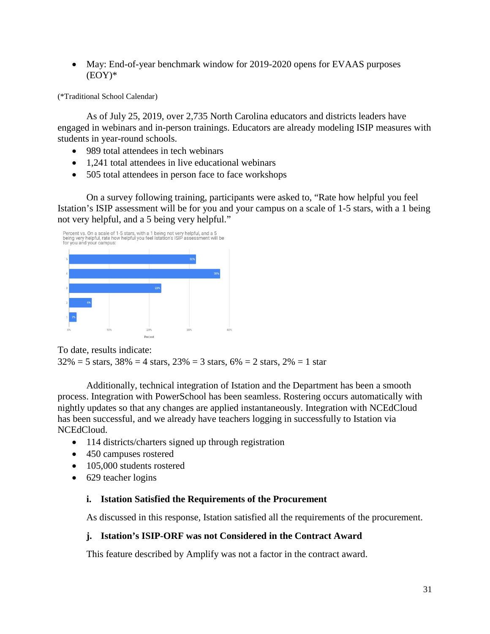• May: End-of-year benchmark window for 2019-2020 opens for EVAAS purposes  $(EOY)*$ 

(\*Traditional School Calendar)

As of July 25, 2019, over 2,735 North Carolina educators and districts leaders have engaged in webinars and in-person trainings. Educators are already modeling ISIP measures with students in year-round schools.

- 989 total attendees in tech webinars
- 1,241 total attendees in live educational webinars
- 505 total attendees in person face to face workshops

On a survey following training, participants were asked to, "Rate how helpful you feel Istation's ISIP assessment will be for you and your campus on a scale of 1-5 stars, with a 1 being not very helpful, and a 5 being very helpful."



To date, results indicate:

 $32\% = 5$  stars,  $38\% = 4$  stars,  $23\% = 3$  stars,  $6\% = 2$  stars,  $2\% = 1$  stars

Additionally, technical integration of Istation and the Department has been a smooth process. Integration with PowerSchool has been seamless. Rostering occurs automatically with nightly updates so that any changes are applied instantaneously. Integration with NCEdCloud has been successful, and we already have teachers logging in successfully to Istation via NCEdCloud.

- 114 districts/charters signed up through registration
- 450 campuses rostered
- 105,000 students rostered
- 629 teacher logins

### **i. Istation Satisfied the Requirements of the Procurement**

As discussed in this response, Istation satisfied all the requirements of the procurement.

### **j. Istation's ISIP-ORF was not Considered in the Contract Award**

This feature described by Amplify was not a factor in the contract award.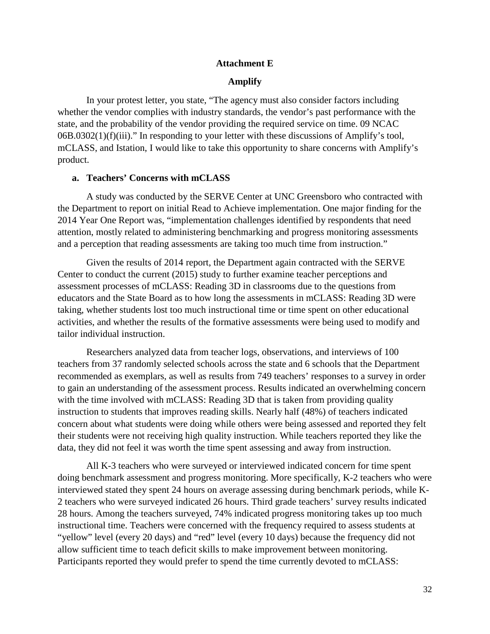#### **Attachment E**

#### **Amplify**

In your protest letter, you state, "The agency must also consider factors including whether the vendor complies with industry standards, the vendor's past performance with the state, and the probability of the vendor providing the required service on time. 09 NCAC 06B.0302(1)(f)(iii)." In responding to your letter with these discussions of Amplify's tool, mCLASS, and Istation, I would like to take this opportunity to share concerns with Amplify's product.

#### **a. Teachers' Concerns with mCLASS**

A study was conducted by the SERVE Center at UNC Greensboro who contracted with the Department to report on initial Read to Achieve implementation. One major finding for the 2014 Year One Report was, "implementation challenges identified by respondents that need attention, mostly related to administering benchmarking and progress monitoring assessments and a perception that reading assessments are taking too much time from instruction."

Given the results of 2014 report, the Department again contracted with the SERVE Center to conduct the current (2015) study to further examine teacher perceptions and assessment processes of mCLASS: Reading 3D in classrooms due to the questions from educators and the State Board as to how long the assessments in mCLASS: Reading 3D were taking, whether students lost too much instructional time or time spent on other educational activities, and whether the results of the formative assessments were being used to modify and tailor individual instruction.

Researchers analyzed data from teacher logs, observations, and interviews of 100 teachers from 37 randomly selected schools across the state and 6 schools that the Department recommended as exemplars, as well as results from 749 teachers' responses to a survey in order to gain an understanding of the assessment process. Results indicated an overwhelming concern with the time involved with mCLASS: Reading 3D that is taken from providing quality instruction to students that improves reading skills. Nearly half (48%) of teachers indicated concern about what students were doing while others were being assessed and reported they felt their students were not receiving high quality instruction. While teachers reported they like the data, they did not feel it was worth the time spent assessing and away from instruction.

All K-3 teachers who were surveyed or interviewed indicated concern for time spent doing benchmark assessment and progress monitoring. More specifically, K-2 teachers who were interviewed stated they spent 24 hours on average assessing during benchmark periods, while K-2 teachers who were surveyed indicated 26 hours. Third grade teachers' survey results indicated 28 hours. Among the teachers surveyed, 74% indicated progress monitoring takes up too much instructional time. Teachers were concerned with the frequency required to assess students at "yellow" level (every 20 days) and "red" level (every 10 days) because the frequency did not allow sufficient time to teach deficit skills to make improvement between monitoring. Participants reported they would prefer to spend the time currently devoted to mCLASS: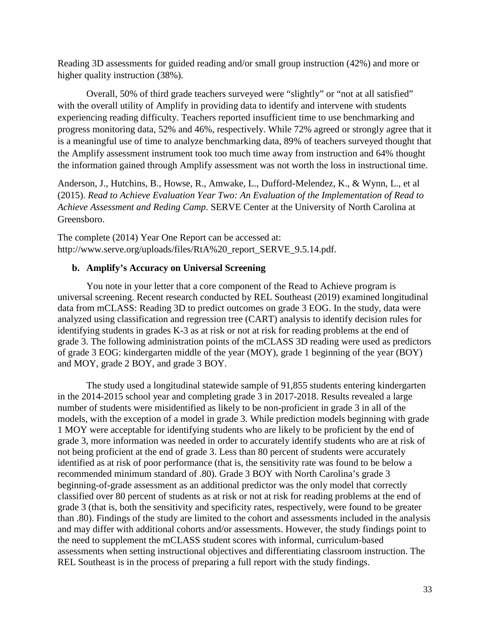Reading 3D assessments for guided reading and/or small group instruction (42%) and more or higher quality instruction (38%).

Overall, 50% of third grade teachers surveyed were "slightly" or "not at all satisfied" with the overall utility of Amplify in providing data to identify and intervene with students experiencing reading difficulty. Teachers reported insufficient time to use benchmarking and progress monitoring data, 52% and 46%, respectively. While 72% agreed or strongly agree that it is a meaningful use of time to analyze benchmarking data, 89% of teachers surveyed thought that the Amplify assessment instrument took too much time away from instruction and 64% thought the information gained through Amplify assessment was not worth the loss in instructional time.

Anderson, J., Hutchins, B., Howse, R., Amwake, L., Dufford-Melendez, K., & Wynn, L., et al (2015). *Read to Achieve Evaluation Year Two: An Evaluation of the Implementation of Read to Achieve Assessment and Reding Camp*. SERVE Center at the University of North Carolina at Greensboro.

The complete (2014) Year One Report can be accessed at: http://www.serve.org/uploads/files/RtA%20\_report\_SERVE\_9.5.14.pdf.

#### **b. Amplify's Accuracy on Universal Screening**

You note in your letter that a core component of the Read to Achieve program is universal screening. Recent research conducted by REL Southeast (2019) examined longitudinal data from mCLASS: Reading 3D to predict outcomes on grade 3 EOG. In the study, data were analyzed using classification and regression tree (CART) analysis to identify decision rules for identifying students in grades K-3 as at risk or not at risk for reading problems at the end of grade 3. The following administration points of the mCLASS 3D reading were used as predictors of grade 3 EOG: kindergarten middle of the year (MOY), grade 1 beginning of the year (BOY) and MOY, grade 2 BOY, and grade 3 BOY.

The study used a longitudinal statewide sample of 91,855 students entering kindergarten in the 2014-2015 school year and completing grade 3 in 2017-2018. Results revealed a large number of students were misidentified as likely to be non-proficient in grade 3 in all of the models, with the exception of a model in grade 3. While prediction models beginning with grade 1 MOY were acceptable for identifying students who are likely to be proficient by the end of grade 3, more information was needed in order to accurately identify students who are at risk of not being proficient at the end of grade 3. Less than 80 percent of students were accurately identified as at risk of poor performance (that is, the sensitivity rate was found to be below a recommended minimum standard of .80). Grade 3 BOY with North Carolina's grade 3 beginning-of-grade assessment as an additional predictor was the only model that correctly classified over 80 percent of students as at risk or not at risk for reading problems at the end of grade 3 (that is, both the sensitivity and specificity rates, respectively, were found to be greater than .80). Findings of the study are limited to the cohort and assessments included in the analysis and may differ with additional cohorts and/or assessments. However, the study findings point to the need to supplement the mCLASS student scores with informal, curriculum-based assessments when setting instructional objectives and differentiating classroom instruction. The REL Southeast is in the process of preparing a full report with the study findings.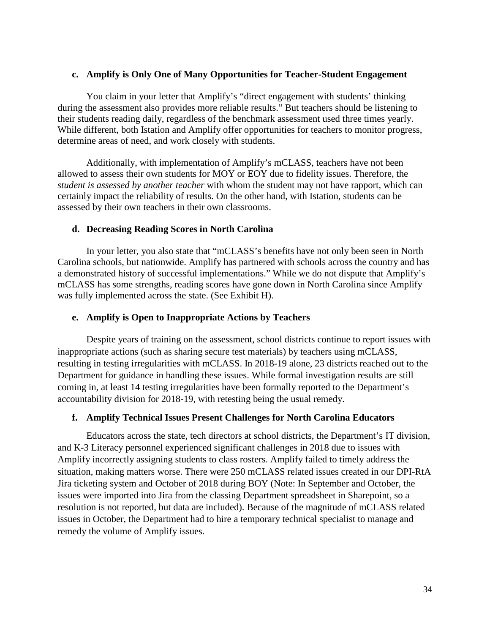#### **c. Amplify is Only One of Many Opportunities for Teacher-Student Engagement**

You claim in your letter that Amplify's "direct engagement with students' thinking during the assessment also provides more reliable results." But teachers should be listening to their students reading daily, regardless of the benchmark assessment used three times yearly. While different, both Istation and Amplify offer opportunities for teachers to monitor progress, determine areas of need, and work closely with students.

Additionally, with implementation of Amplify's mCLASS, teachers have not been allowed to assess their own students for MOY or EOY due to fidelity issues. Therefore, the *student is assessed by another teacher* with whom the student may not have rapport, which can certainly impact the reliability of results. On the other hand, with Istation, students can be assessed by their own teachers in their own classrooms.

### **d. Decreasing Reading Scores in North Carolina**

In your letter, you also state that "mCLASS's benefits have not only been seen in North Carolina schools, but nationwide. Amplify has partnered with schools across the country and has a demonstrated history of successful implementations." While we do not dispute that Amplify's mCLASS has some strengths, reading scores have gone down in North Carolina since Amplify was fully implemented across the state. (See Exhibit H).

#### **e. Amplify is Open to Inappropriate Actions by Teachers**

Despite years of training on the assessment, school districts continue to report issues with inappropriate actions (such as sharing secure test materials) by teachers using mCLASS, resulting in testing irregularities with mCLASS. In 2018-19 alone, 23 districts reached out to the Department for guidance in handling these issues. While formal investigation results are still coming in, at least 14 testing irregularities have been formally reported to the Department's accountability division for 2018-19, with retesting being the usual remedy.

#### **f. Amplify Technical Issues Present Challenges for North Carolina Educators**

Educators across the state, tech directors at school districts, the Department's IT division, and K-3 Literacy personnel experienced significant challenges in 2018 due to issues with Amplify incorrectly assigning students to class rosters. Amplify failed to timely address the situation, making matters worse. There were 250 mCLASS related issues created in our DPI-RtA Jira ticketing system and October of 2018 during BOY (Note: In September and October, the issues were imported into Jira from the classing Department spreadsheet in Sharepoint, so a resolution is not reported, but data are included). Because of the magnitude of mCLASS related issues in October, the Department had to hire a temporary technical specialist to manage and remedy the volume of Amplify issues.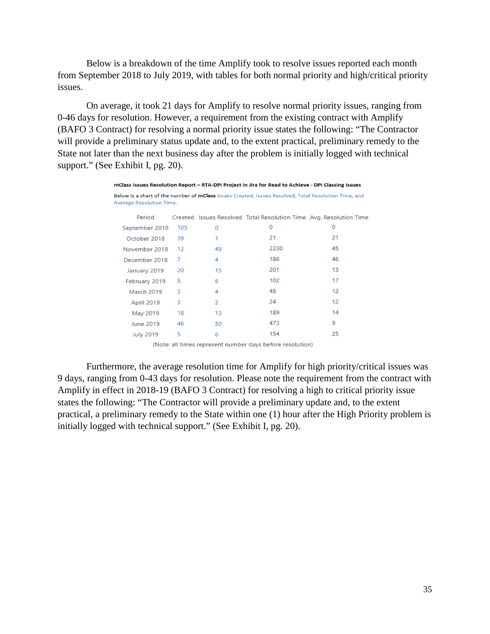Below is a breakdown of the time Amplify took to resolve issues reported each month from September 2018 to July 2019, with tables for both normal priority and high/critical priority issues.

On average, it took 21 days for Amplify to resolve normal priority issues, ranging from 0-46 days for resolution. However, a requirement from the existing contract with Amplify (BAFO 3 Contract) for resolving a normal priority issue states the following: "The Contractor will provide a preliminary status update and, to the extent practical, preliminary remedy to the State not later than the next business day after the problem is initially logged with technical support." (See Exhibit I, pg. 20).

> Below is a chart of the number of mClass Issues Created, Issues Resolved, Total Resolution Time, and **Average Resolution Time** Period Created Issues Resolved Total Resolution Time Avg. Resolution Time

mClass Issues Resolution Report - RTA-DPI Project in Jira for Read to Achieve - DPI Classing Issues

| September 2018   | <b>IUD</b>     | υ              | $\cup$ | $\cup$ |
|------------------|----------------|----------------|--------|--------|
| October 2018     | 39             |                | 21     | 21     |
| November 2018    | 12             | 49             | 2230   | 45     |
| December 2018    | $\overline{7}$ | 4              | 186    | 46     |
| January 2019     | 20             | 15             | 201    | 13     |
| February 2019    | 5              | 6              | 102    | 17     |
| March 2019       | 3              | 4              | 48     | 12     |
| April 2019       | 3              | $\overline{2}$ | 24     | 12     |
| May 2019         | 18             | 13             | 189    | 14     |
| June 2019        | 46             | 50             | 473    | 9      |
| <b>July 2019</b> | 5              | 6              | 154    | 25     |
|                  |                |                |        |        |

(Note: all times represent number days before resolution)

Furthermore, the average resolution time for Amplify for high priority/critical issues was 9 days, ranging from 0-43 days for resolution. Please note the requirement from the contract with Amplify in effect in 2018-19 (BAFO 3 Contract) for resolving a high to critical priority issue states the following: "The Contractor will provide a preliminary update and, to the extent practical, a preliminary remedy to the State within one (1) hour after the High Priority problem is initially logged with technical support." (See Exhibit I, pg. 20).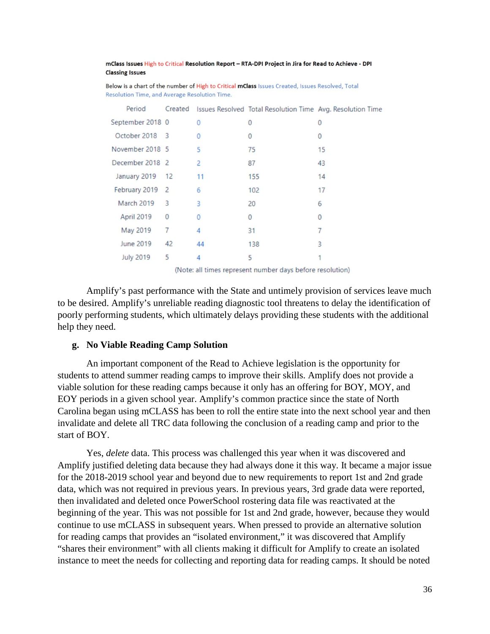#### mClass Issues High to Critical Resolution Report - RTA-DPI Project in Jira for Read to Achieve - DPI **Classing Issues**

Below is a chart of the number of High to Critical mClass Issues Created, Issues Resolved, Total Resolution Time, and Average Resolution Time.

| Period                     | Created |                | Issues Resolved Total Resolution Time Avg. Resolution Time |                |
|----------------------------|---------|----------------|------------------------------------------------------------|----------------|
| September 2018 0           |         | 0              | $\mathbf{0}$                                               | $\bf{0}$       |
| October 2018 3             |         | $\overline{0}$ | $\mathbf{0}$                                               | $\overline{0}$ |
| November 2018 5            |         | 5              | 75                                                         | 15             |
| December 2018 2            |         | $\overline{2}$ | 87                                                         | 43             |
| January 2019 12            |         | 11             | 155                                                        | 14             |
| February 2019 <sub>2</sub> |         | 6              | 102                                                        | 17             |
| <b>March 2019</b>          | 3       | 3              | 20                                                         | 6              |
| April 2019                 | 0       | 0              | $\mathbf{0}$                                               | 0              |
| May 2019                   | 7       | 4              | 31                                                         |                |
| June 2019                  | 42      | 44             | 138                                                        | 3              |
| <b>July 2019</b>           | 5       | 4              | 5                                                          |                |
|                            |         |                |                                                            |                |

(Note: all times represent number days before resolution)

Amplify's past performance with the State and untimely provision of services leave much to be desired. Amplify's unreliable reading diagnostic tool threatens to delay the identification of poorly performing students, which ultimately delays providing these students with the additional help they need.

#### **g. No Viable Reading Camp Solution**

An important component of the Read to Achieve legislation is the opportunity for students to attend summer reading camps to improve their skills. Amplify does not provide a viable solution for these reading camps because it only has an offering for BOY, MOY, and EOY periods in a given school year. Amplify's common practice since the state of North Carolina began using mCLASS has been to roll the entire state into the next school year and then invalidate and delete all TRC data following the conclusion of a reading camp and prior to the start of BOY.

Yes, *delete* data. This process was challenged this year when it was discovered and Amplify justified deleting data because they had always done it this way. It became a major issue for the 2018-2019 school year and beyond due to new requirements to report 1st and 2nd grade data, which was not required in previous years. In previous years, 3rd grade data were reported, then invalidated and deleted once PowerSchool rostering data file was reactivated at the beginning of the year. This was not possible for 1st and 2nd grade, however, because they would continue to use mCLASS in subsequent years. When pressed to provide an alternative solution for reading camps that provides an "isolated environment," it was discovered that Amplify "shares their environment" with all clients making it difficult for Amplify to create an isolated instance to meet the needs for collecting and reporting data for reading camps. It should be noted